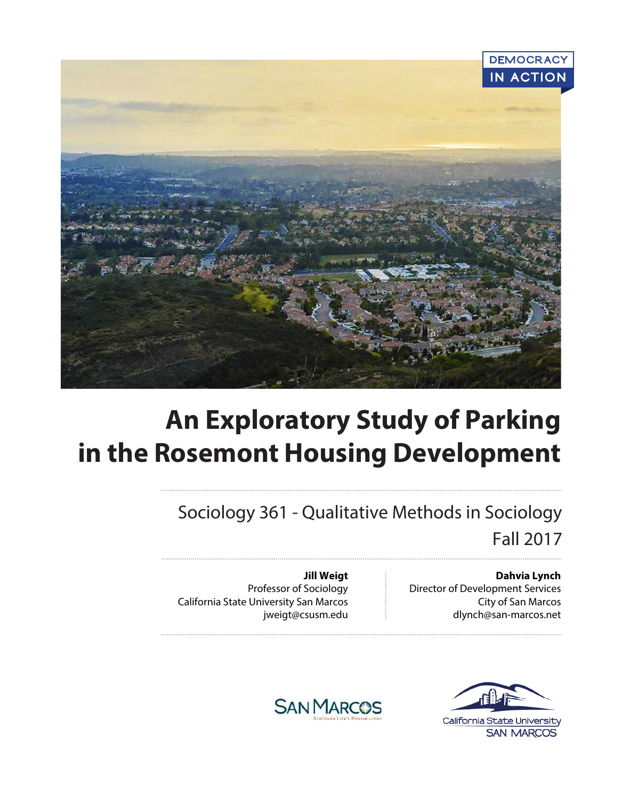

# **An Exploratory Study of Parking in the Rosemont Housing Development**

Sociology 361 - Qualitative Methods in Sociology Fall 2017

> **Dahvia Lynch** Director of Development Services City of San Marcos dlynch@san-marcos.net

**Jill Weigt** Professor of Sociology California State University San Marcos jweigt@csusm.edu



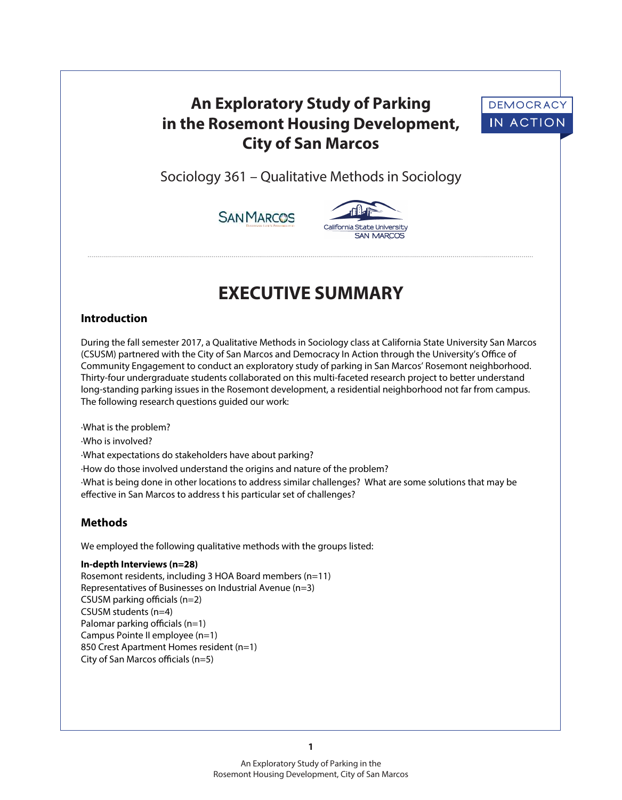# **An Exploratory Study of Parking in the Rosemont Housing Development, City of San Marcos**



Sociology 361 – Qualitative Methods in Sociology





**SAN MARCOS** 

# **EXECUTIVE SUMMARY**

# **Introduction**

During the fall semester 2017, a Qualitative Methods in Sociology class at California State University San Marcos (CSUSM) partnered with the City of San Marcos and Democracy In Action through the University's Office of Community Engagement to conduct an exploratory study of parking in San Marcos' Rosemont neighborhood. Thirty-four undergraduate students collaborated on this multi-faceted research project to better understand long-standing parking issues in the Rosemont development, a residential neighborhood not far from campus. The following research questions guided our work:

·What is the problem? ·Who is involved? ·What expectations do stakeholders have about parking? ·How do those involved understand the origins and nature of the problem? ·What is being done in other locations to address similar challenges? What are some solutions that may be effective in San Marcos to address t his particular set of challenges?

# **Methods**

We employed the following qualitative methods with the groups listed:

**In-depth Interviews (n=28)**

Rosemont residents, including 3 HOA Board members (n=11) Representatives of Businesses on Industrial Avenue (n=3)  $CSUSM$  parking officials (n=2) CSUSM students (n=4) Palomar parking officials  $(n=1)$ Campus Pointe II employee (n=1) 850 Crest Apartment Homes resident (n=1) City of San Marcos officials  $(n=5)$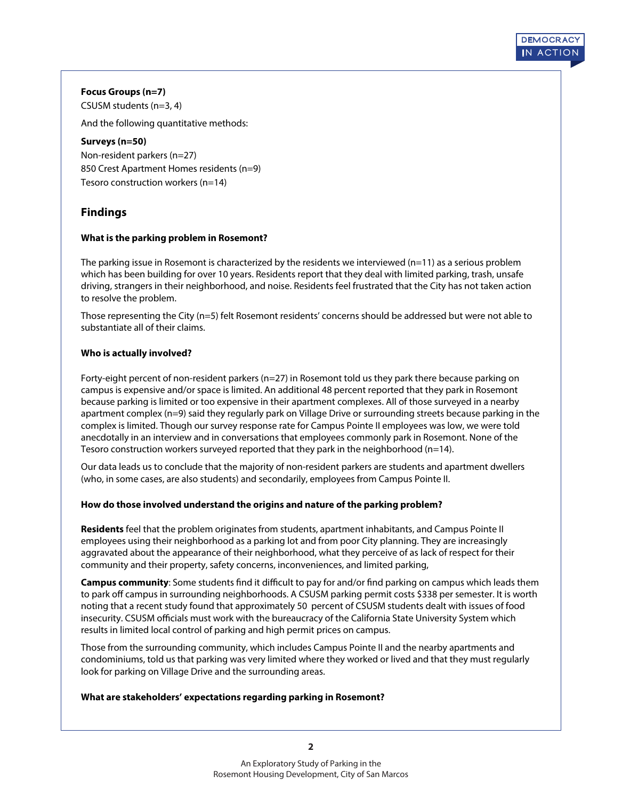#### **Focus Groups (n=7)**

CSUSM students (n=3, 4)

And the following quantitative methods:

#### **Surveys (n=50)**

Non-resident parkers (n=27) 850 Crest Apartment Homes residents (n=9) Tesoro construction workers (n=14)

# **Findings**

#### **What is the parking problem in Rosemont?**

The parking issue in Rosemont is characterized by the residents we interviewed (n=11) as a serious problem which has been building for over 10 years. Residents report that they deal with limited parking, trash, unsafe driving, strangers in their neighborhood, and noise. Residents feel frustrated that the City has not taken action to resolve the problem.

**DEMOCR A CY IN A CTION**

Those representing the City (n=5) felt Rosemont residents' concerns should be addressed but were not able to substantiate all of their claims.

#### **Who is actually involved?**

Forty-eight percent of non-resident parkers (n=27) in Rosemont told us they park there because parking on campus is expensive and/or space is limited. An additional 48 percent reported that they park in Rosemont because parking is limited or too expensive in their apartment complexes. All of those surveyed in a nearby apartment complex (n=9) said they regularly park on Village Drive or surrounding streets because parking in the complex is limited. Though our survey response rate for Campus Pointe II employees was low, we were told anecdotally in an interview and in conversations that employees commonly park in Rosemont. None of the Tesoro construction workers surveyed reported that they park in the neighborhood  $(n=14)$ .

Our data leads us to conclude that the majority of non-resident parkers are students and apartment dwellers (who, in some cases, are also students) and secondarily, employees from Campus Pointe II.

#### **How do those involved understand the origins and nature of the parking problem?**

**Residents** feel that the problem originates from students, apartment inhabitants, and Campus Pointe II employees using their neighborhood as a parking lot and from poor City planning. They are increasingly aggravated about the appearance of their neighborhood, what they perceive of as lack of respect for their community and their property, safety concerns, inconveniences, and limited parking,

**Campus community**: Some students find it difficult to pay for and/or find parking on campus which leads them to park off campus in surrounding neighborhoods. A CSUSM parking permit costs \$338 per semester. It is worth noting that a recent study found that approximately 50 percent of CSUSM students dealt with issues of food insecurity. CSUSM officials must work with the bureaucracy of the California State University System which results in limited local control of parking and high permit prices on campus.

Those from the surrounding community, which includes Campus Pointe II and the nearby apartments and condominiums, told us that parking was very limited where they worked or lived and that they must regularly look for parking on Village Drive and the surrounding areas.

#### **What are stakeholders' expectations regarding parking in Rosemont?**

**2**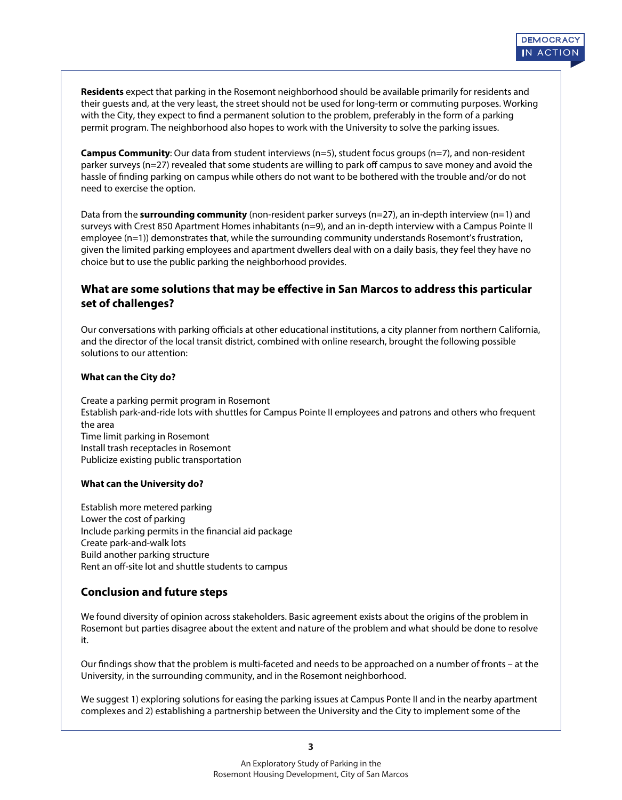**Residents** expect that parking in the Rosemont neighborhood should be available primarily for residents and their guests and, at the very least, the street should not be used for long-term or commuting purposes. Working with the City, they expect to find a permanent solution to the problem, preferably in the form of a parking permit program. The neighborhood also hopes to work with the University to solve the parking issues.

**Campus Community**: Our data from student interviews (n=5), student focus groups (n=7), and non-resident parker surveys (n=27) revealed that some students are willing to park off campus to save money and avoid the hassle of finding parking on campus while others do not want to be bothered with the trouble and/or do not need to exercise the option.

Data from the **surrounding community** (non-resident parker surveys (n=27), an in-depth interview (n=1) and surveys with Crest 850 Apartment Homes inhabitants (n=9), and an in-depth interview with a Campus Pointe II employee (n=1)) demonstrates that, while the surrounding community understands Rosemont's frustration, given the limited parking employees and apartment dwellers deal with on a daily basis, they feel they have no choice but to use the public parking the neighborhood provides.

# What are some solutions that may be effective in San Marcos to address this particular **set of challenges?**

Our conversations with parking officials at other educational institutions, a city planner from northern California, and the director of the local transit district, combined with online research, brought the following possible solutions to our attention:

#### **What can the City do?**

Create a parking permit program in Rosemont Establish park-and-ride lots with shuttles for Campus Pointe II employees and patrons and others who frequent the area Time limit parking in Rosemont Install trash receptacles in Rosemont Publicize existing public transportation

#### **What can the University do?**

Establish more metered parking Lower the cost of parking Include parking permits in the financial aid package Create park-and-walk lots Build another parking structure Rent an off-site lot and shuttle students to campus

# **Conclusion and future steps**

We found diversity of opinion across stakeholders. Basic agreement exists about the origins of the problem in Rosemont but parties disagree about the extent and nature of the problem and what should be done to resolve it.

Our findings show that the problem is multi-faceted and needs to be approached on a number of fronts – at the University, in the surrounding community, and in the Rosemont neighborhood.

We suggest 1) exploring solutions for easing the parking issues at Campus Ponte II and in the nearby apartment complexes and 2) establishing a partnership between the University and the City to implement some of the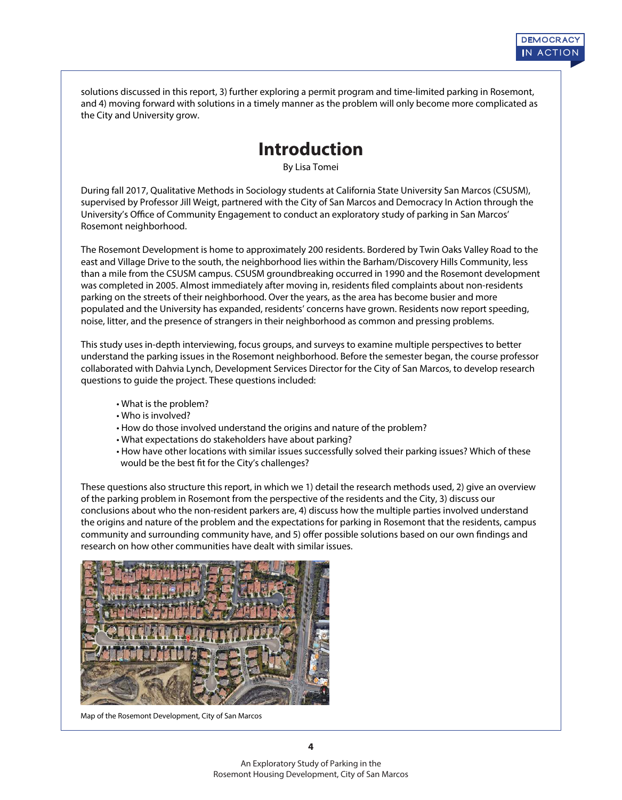solutions discussed in this report, 3) further exploring a permit program and time-limited parking in Rosemont, and 4) moving forward with solutions in a timely manner as the problem will only become more complicated as the City and University grow.

# **Introduction**

By Lisa Tomei

During fall 2017, Qualitative Methods in Sociology students at California State University San Marcos (CSUSM), supervised by Professor Jill Weigt, partnered with the City of San Marcos and Democracy In Action through the University's Office of Community Engagement to conduct an exploratory study of parking in San Marcos' Rosemont neighborhood.

The Rosemont Development is home to approximately 200 residents. Bordered by Twin Oaks Valley Road to the east and Village Drive to the south, the neighborhood lies within the Barham/Discovery Hills Community, less than a mile from the CSUSM campus. CSUSM groundbreaking occurred in 1990 and the Rosemont development was completed in 2005. Almost immediately after moving in, residents filed complaints about non-residents parking on the streets of their neighborhood. Over the years, as the area has become busier and more populated and the University has expanded, residents' concerns have grown. Residents now report speeding, noise, litter, and the presence of strangers in their neighborhood as common and pressing problems.

This study uses in-depth interviewing, focus groups, and surveys to examine multiple perspectives to better understand the parking issues in the Rosemont neighborhood. Before the semester began, the course professor collaborated with Dahvia Lynch, Development Services Director for the City of San Marcos, to develop research questions to guide the project. These questions included:

- What is the problem?
- Who is involved?
- How do those involved understand the origins and nature of the problem?
- What expectations do stakeholders have about parking?
- How have other locations with similar issues successfully solved their parking issues? Which of these would be the best fit for the City's challenges?

These questions also structure this report, in which we 1) detail the research methods used, 2) give an overview of the parking problem in Rosemont from the perspective of the residents and the City, 3) discuss our conclusions about who the non-resident parkers are, 4) discuss how the multiple parties involved understand the origins and nature of the problem and the expectations for parking in Rosemont that the residents, campus community and surrounding community have, and 5) offer possible solutions based on our own findings and research on how other communities have dealt with similar issues.



Map of the Rosemont Development, City of San Marcos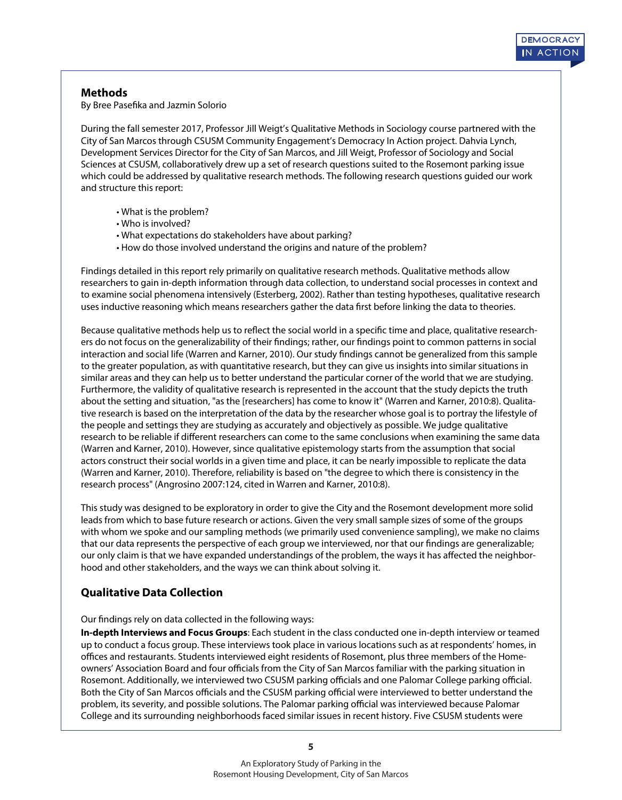# **Methods**

By Bree Pasefika and Jazmin Solorio

During the fall semester 2017, Professor Jill Weigt's Qualitative Methods in Sociology course partnered with the City of San Marcos through CSUSM Community Engagement's Democracy In Action project. Dahvia Lynch, Development Services Director for the City of San Marcos, and Jill Weigt, Professor of Sociology and Social Sciences at CSUSM, collaboratively drew up a set of research questions suited to the Rosemont parking issue which could be addressed by qualitative research methods. The following research questions guided our work and structure this report:

- What is the problem?
- Who is involved?
- What expectations do stakeholders have about parking?
- How do those involved understand the origins and nature of the problem?

Findings detailed in this report rely primarily on qualitative research methods. Qualitative methods allow researchers to gain in-depth information through data collection, to understand social processes in context and to examine social phenomena intensively (Esterberg, 2002). Rather than testing hypotheses, qualitative research uses inductive reasoning which means researchers gather the data first before linking the data to theories.

Because qualitative methods help us to reflect the social world in a specific time and place, qualitative researchers do not focus on the generalizability of their findings; rather, our findings point to common patterns in social interaction and social life (Warren and Karner, 2010). Our study findings cannot be generalized from this sample to the greater population, as with quantitative research, but they can give us insights into similar situations in similar areas and they can help us to better understand the particular corner of the world that we are studying. Furthermore, the validity of qualitative research is represented in the account that the study depicts the truth about the setting and situation, "as the [researchers] has come to know it" (Warren and Karner, 2010:8). Qualitative research is based on the interpretation of the data by the researcher whose goal is to portray the lifestyle of the people and settings they are studying as accurately and objectively as possible. We judge qualitative research to be reliable if different researchers can come to the same conclusions when examining the same data (Warren and Karner, 2010). However, since qualitative epistemology starts from the assumption that social actors construct their social worlds in a given time and place, it can be nearly impossible to replicate the data (Warren and Karner, 2010). Therefore, reliability is based on "the degree to which there is consistency in the research process" (Angrosino 2007:124, cited in Warren and Karner, 2010:8).

This study was designed to be exploratory in order to give the City and the Rosemont development more solid leads from which to base future research or actions. Given the very small sample sizes of some of the groups with whom we spoke and our sampling methods (we primarily used convenience sampling), we make no claims that our data represents the perspective of each group we interviewed, nor that our findings are generalizable; our only claim is that we have expanded understandings of the problem, the ways it has affected the neighborhood and other stakeholders, and the ways we can think about solving it.

# **Qualitative Data Collection**

#### Our findings rely on data collected in the following ways:

**In-depth Interviews and Focus Groups**: Each student in the class conducted one in-depth interview or teamed up to conduct a focus group. These interviews took place in various locations such as at respondents' homes, in offices and restaurants. Students interviewed eight residents of Rosemont, plus three members of the Homeowners' Association Board and four officials from the City of San Marcos familiar with the parking situation in Rosemont. Additionally, we interviewed two CSUSM parking officials and one Palomar College parking official. Both the City of San Marcos officials and the CSUSM parking official were interviewed to better understand the problem, its severity, and possible solutions. The Palomar parking official was interviewed because Palomar College and its surrounding neighborhoods faced similar issues in recent history. Five CSUSM students were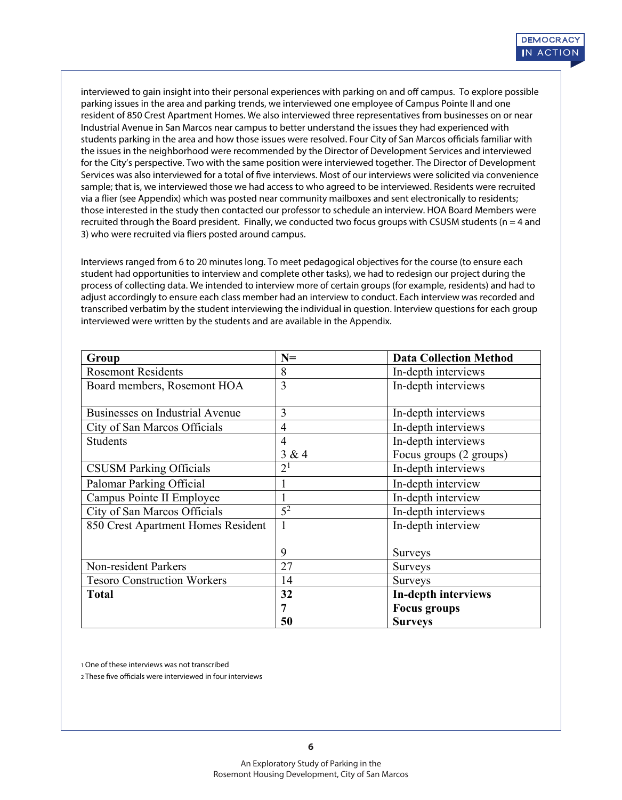interviewed to gain insight into their personal experiences with parking on and off campus. To explore possible parking issues in the area and parking trends, we interviewed one employee of Campus Pointe II and one resident of 850 Crest Apartment Homes. We also interviewed three representatives from businesses on or near Industrial Avenue in San Marcos near campus to better understand the issues they had experienced with students parking in the area and how those issues were resolved. Four City of San Marcos officials familiar with the issues in the neighborhood were recommended by the Director of Development Services and interviewed for the City's perspective. Two with the same position were interviewed together. The Director of Development Services was also interviewed for a total of five interviews. Most of our interviews were solicited via convenience sample; that is, we interviewed those we had access to who agreed to be interviewed. Residents were recruited via a flier (see Appendix) which was posted near community mailboxes and sent electronically to residents; those interested in the study then contacted our professor to schedule an interview. HOA Board Members were recruited through the Board president. Finally, we conducted two focus groups with CSUSM students ( $n = 4$  and 3) who were recruited via fliers posted around campus.

Interviews ranged from 6 to 20 minutes long. To meet pedagogical objectives for the course (to ensure each student had opportunities to interview and complete other tasks), we had to redesign our project during the process of collecting data. We intended to interview more of certain groups (for example, residents) and had to adjust accordingly to ensure each class member had an interview to conduct. Each interview was recorded and transcribed verbatim by the student interviewing the individual in question. Interview questions for each group interviewed were written by the students and are available in the Appendix.

| Group                                  | $N =$          | <b>Data Collection Method</b> |  |
|----------------------------------------|----------------|-------------------------------|--|
| <b>Rosemont Residents</b>              | 8              | In-depth interviews           |  |
| Board members, Rosemont HOA            | 3              | In-depth interviews           |  |
|                                        |                |                               |  |
| <b>Businesses on Industrial Avenue</b> | 3              | In-depth interviews           |  |
| City of San Marcos Officials           | $\overline{4}$ | In-depth interviews           |  |
| <b>Students</b>                        | $\overline{4}$ | In-depth interviews           |  |
|                                        | 3 & 4          | Focus groups (2 groups)       |  |
| <b>CSUSM Parking Officials</b>         | 2 <sup>1</sup> | In-depth interviews           |  |
| Palomar Parking Official               |                | In-depth interview            |  |
| Campus Pointe II Employee              |                | In-depth interview            |  |
| City of San Marcos Officials           | 5 <sup>2</sup> | In-depth interviews           |  |
| 850 Crest Apartment Homes Resident     | 1              | In-depth interview            |  |
|                                        |                |                               |  |
|                                        | 9              | Surveys                       |  |
| Non-resident Parkers                   | 27             | Surveys                       |  |
| <b>Tesoro Construction Workers</b>     | 14             | <b>Surveys</b>                |  |
| <b>Total</b>                           | 32             | In-depth interviews           |  |
|                                        | 7              | <b>Focus groups</b>           |  |
|                                        | 50             | <b>Surveys</b>                |  |

1 One of these interviews was not transcribed

2 These five officials were interviewed in four interviews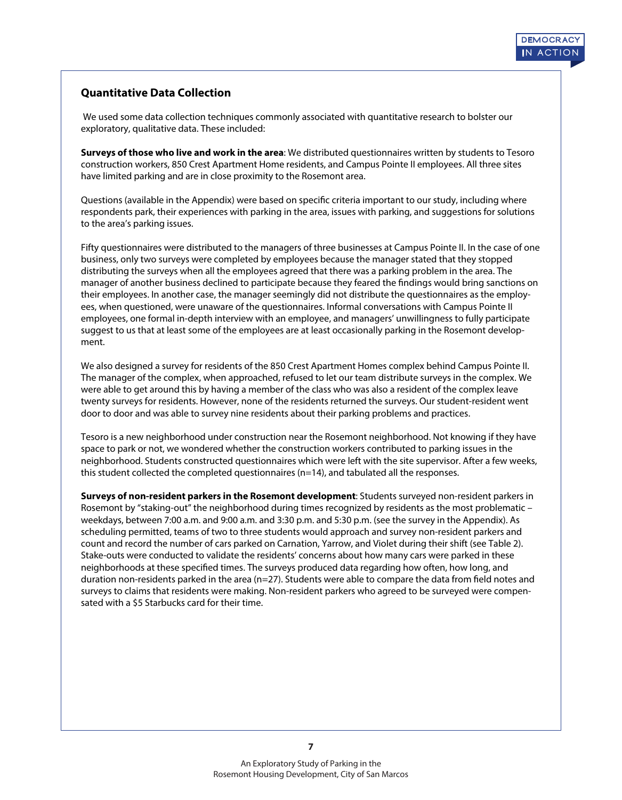# **Quantitative Data Collection**

 We used some data collection techniques commonly associated with quantitative research to bolster our exploratory, qualitative data. These included:

**Surveys of those who live and work in the area**: We distributed questionnaires written by students to Tesoro construction workers, 850 Crest Apartment Home residents, and Campus Pointe II employees. All three sites have limited parking and are in close proximity to the Rosemont area.

Questions (available in the Appendix) were based on specific criteria important to our study, including where respondents park, their experiences with parking in the area, issues with parking, and suggestions for solutions to the area's parking issues.

Fifty questionnaires were distributed to the managers of three businesses at Campus Pointe II. In the case of one business, only two surveys were completed by employees because the manager stated that they stopped distributing the surveys when all the employees agreed that there was a parking problem in the area. The manager of another business declined to participate because they feared the findings would bring sanctions on their employees. In another case, the manager seemingly did not distribute the questionnaires as the employees, when questioned, were unaware of the questionnaires. Informal conversations with Campus Pointe II employees, one formal in-depth interview with an employee, and managers' unwillingness to fully participate suggest to us that at least some of the employees are at least occasionally parking in the Rosemont development.

We also designed a survey for residents of the 850 Crest Apartment Homes complex behind Campus Pointe II. The manager of the complex, when approached, refused to let our team distribute surveys in the complex. We were able to get around this by having a member of the class who was also a resident of the complex leave twenty surveys for residents. However, none of the residents returned the surveys. Our student-resident went door to door and was able to survey nine residents about their parking problems and practices.

Tesoro is a new neighborhood under construction near the Rosemont neighborhood. Not knowing if they have space to park or not, we wondered whether the construction workers contributed to parking issues in the neighborhood. Students constructed questionnaires which were left with the site supervisor. After a few weeks, this student collected the completed questionnaires (n=14), and tabulated all the responses.

**Surveys of non-resident parkers in the Rosemont development**: Students surveyed non-resident parkers in Rosemont by "staking-out" the neighborhood during times recognized by residents as the most problematic – weekdays, between 7:00 a.m. and 9:00 a.m. and 3:30 p.m. and 5:30 p.m. (see the survey in the Appendix). As scheduling permitted, teams of two to three students would approach and survey non-resident parkers and count and record the number of cars parked on Carnation, Yarrow, and Violet during their shift (see Table 2). Stake-outs were conducted to validate the residents' concerns about how many cars were parked in these neighborhoods at these specified times. The surveys produced data regarding how often, how long, and duration non-residents parked in the area ( $n=27$ ). Students were able to compare the data from field notes and surveys to claims that residents were making. Non-resident parkers who agreed to be surveyed were compensated with a \$5 Starbucks card for their time.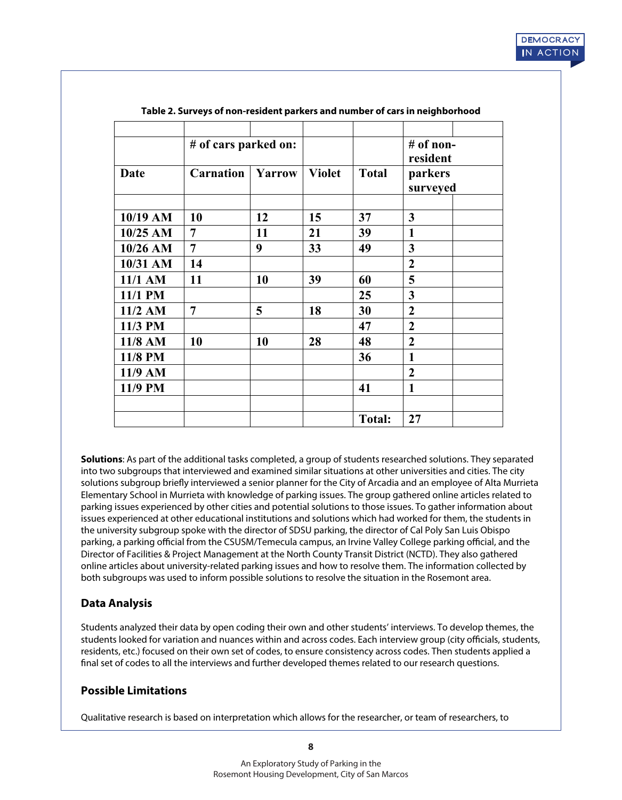|           | # of cars parked on: |        |               |               | $#$ of non-<br>resident |
|-----------|----------------------|--------|---------------|---------------|-------------------------|
| Date      | <b>Carnation</b>     | Yarrow | <b>Violet</b> | <b>Total</b>  | parkers<br>surveyed     |
| 10/19 AM  | 10                   | 12     | 15            | 37            | $\mathbf{3}$            |
| 10/25 AM  | 7                    | 11     | 21            | 39            | 1                       |
| 10/26 AM  | $\overline{7}$       | 9      | 33            | 49            | $\overline{3}$          |
| 10/31 AM  | 14                   |        |               |               | $\overline{2}$          |
| 11/1 AM   | 11                   | 10     | 39            | 60            | 5                       |
| 11/1 PM   |                      |        |               | 25            | 3                       |
| $11/2$ AM | $\overline{7}$       | 5      | 18            | 30            | $\overline{2}$          |
| 11/3 PM   |                      |        |               | 47            | $\overline{2}$          |
| 11/8 AM   | 10                   | 10     | 28            | 48            | $\overline{2}$          |
| 11/8 PM   |                      |        |               | 36            | $\mathbf{1}$            |
| 11/9 AM   |                      |        |               |               | $\overline{2}$          |
| 11/9 PM   |                      |        |               | 41            | $\mathbf{1}$            |
|           |                      |        |               | <b>Total:</b> | 27                      |

**Table 2. Surveys of non-resident parkers and number of cars in neighborhood**

**Solutions**: As part of the additional tasks completed, a group of students researched solutions. They separated into two subgroups that interviewed and examined similar situations at other universities and cities. The city solutions subgroup briefly interviewed a senior planner for the City of Arcadia and an employee of Alta Murrieta Elementary School in Murrieta with knowledge of parking issues. The group gathered online articles related to parking issues experienced by other cities and potential solutions to those issues. To gather information about issues experienced at other educational institutions and solutions which had worked for them, the students in the university subgroup spoke with the director of SDSU parking, the director of Cal Poly San Luis Obispo parking, a parking official from the CSUSM/Temecula campus, an Irvine Valley College parking official, and the Director of Facilities & Project Management at the North County Transit District (NCTD). They also gathered online articles about university-related parking issues and how to resolve them. The information collected by both subgroups was used to inform possible solutions to resolve the situation in the Rosemont area.

# **Data Analysis**

Students analyzed their data by open coding their own and other students' interviews. To develop themes, the students looked for variation and nuances within and across codes. Each interview group (city officials, students, residents, etc.) focused on their own set of codes, to ensure consistency across codes. Then students applied a nal set of codes to all the interviews and further developed themes related to our research questions.

# **Possible Limitations**

Qualitative research is based on interpretation which allows for the researcher, or team of researchers, to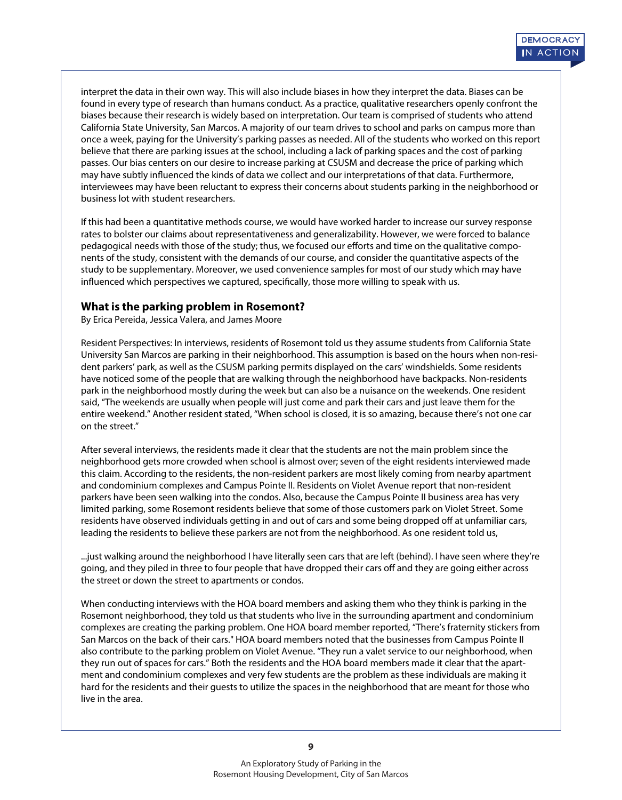interpret the data in their own way. This will also include biases in how they interpret the data. Biases can be found in every type of research than humans conduct. As a practice, qualitative researchers openly confront the biases because their research is widely based on interpretation. Our team is comprised of students who attend California State University, San Marcos. A majority of our team drives to school and parks on campus more than once a week, paying for the University's parking passes as needed. All of the students who worked on this report believe that there are parking issues at the school, including a lack of parking spaces and the cost of parking passes. Our bias centers on our desire to increase parking at CSUSM and decrease the price of parking which may have subtly influenced the kinds of data we collect and our interpretations of that data. Furthermore, interviewees may have been reluctant to express their concerns about students parking in the neighborhood or business lot with student researchers.

If this had been a quantitative methods course, we would have worked harder to increase our survey response rates to bolster our claims about representativeness and generalizability. However, we were forced to balance pedagogical needs with those of the study; thus, we focused our efforts and time on the qualitative components of the study, consistent with the demands of our course, and consider the quantitative aspects of the study to be supplementary. Moreover, we used convenience samples for most of our study which may have influenced which perspectives we captured, specifically, those more willing to speak with us.

#### **What is the parking problem in Rosemont?**

By Erica Pereida, Jessica Valera, and James Moore

Resident Perspectives: In interviews, residents of Rosemont told us they assume students from California State University San Marcos are parking in their neighborhood. This assumption is based on the hours when non-resident parkers' park, as well as the CSUSM parking permits displayed on the cars' windshields. Some residents have noticed some of the people that are walking through the neighborhood have backpacks. Non-residents park in the neighborhood mostly during the week but can also be a nuisance on the weekends. One resident said, "The weekends are usually when people will just come and park their cars and just leave them for the entire weekend." Another resident stated, "When school is closed, it is so amazing, because there's not one car on the street."

After several interviews, the residents made it clear that the students are not the main problem since the neighborhood gets more crowded when school is almost over; seven of the eight residents interviewed made this claim. According to the residents, the non-resident parkers are most likely coming from nearby apartment and condominium complexes and Campus Pointe II. Residents on Violet Avenue report that non-resident parkers have been seen walking into the condos. Also, because the Campus Pointe II business area has very limited parking, some Rosemont residents believe that some of those customers park on Violet Street. Some residents have observed individuals getting in and out of cars and some being dropped off at unfamiliar cars, leading the residents to believe these parkers are not from the neighborhood. As one resident told us,

...just walking around the neighborhood I have literally seen cars that are left (behind). I have seen where they're going, and they piled in three to four people that have dropped their cars off and they are going either across the street or down the street to apartments or condos.

When conducting interviews with the HOA board members and asking them who they think is parking in the Rosemont neighborhood, they told us that students who live in the surrounding apartment and condominium complexes are creating the parking problem. One HOA board member reported, "There's fraternity stickers from San Marcos on the back of their cars." HOA board members noted that the businesses from Campus Pointe II also contribute to the parking problem on Violet Avenue. "They run a valet service to our neighborhood, when they run out of spaces for cars." Both the residents and the HOA board members made it clear that the apartment and condominium complexes and very few students are the problem as these individuals are making it hard for the residents and their guests to utilize the spaces in the neighborhood that are meant for those who live in the area.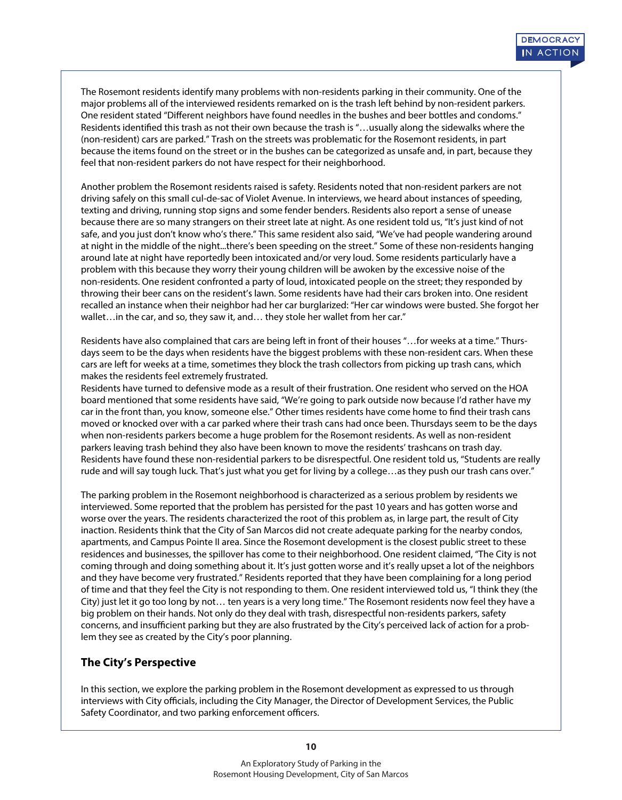The Rosemont residents identify many problems with non-residents parking in their community. One of the major problems all of the interviewed residents remarked on is the trash left behind by non-resident parkers. One resident stated "Different neighbors have found needles in the bushes and beer bottles and condoms." Residents identified this trash as not their own because the trash is "...usually along the sidewalks where the (non-resident) cars are parked." Trash on the streets was problematic for the Rosemont residents, in part because the items found on the street or in the bushes can be categorized as unsafe and, in part, because they feel that non-resident parkers do not have respect for their neighborhood.

Another problem the Rosemont residents raised is safety. Residents noted that non-resident parkers are not driving safely on this small cul-de-sac of Violet Avenue. In interviews, we heard about instances of speeding, texting and driving, running stop signs and some fender benders. Residents also report a sense of unease because there are so many strangers on their street late at night. As one resident told us, "It's just kind of not safe, and you just don't know who's there." This same resident also said, "We've had people wandering around at night in the middle of the night...there's been speeding on the street." Some of these non-residents hanging around late at night have reportedly been intoxicated and/or very loud. Some residents particularly have a problem with this because they worry their young children will be awoken by the excessive noise of the non-residents. One resident confronted a party of loud, intoxicated people on the street; they responded by throwing their beer cans on the resident's lawn. Some residents have had their cars broken into. One resident recalled an instance when their neighbor had her car burglarized: "Her car windows were busted. She forgot her wallet... in the car, and so, they saw it, and... they stole her wallet from her car."

Residents have also complained that cars are being left in front of their houses "…for weeks at a time." Thursdays seem to be the days when residents have the biggest problems with these non-resident cars. When these cars are left for weeks at a time, sometimes they block the trash collectors from picking up trash cans, which makes the residents feel extremely frustrated.

Residents have turned to defensive mode as a result of their frustration. One resident who served on the HOA board mentioned that some residents have said, "We're going to park outside now because I'd rather have my car in the front than, you know, someone else." Other times residents have come home to find their trash cans moved or knocked over with a car parked where their trash cans had once been. Thursdays seem to be the days when non-residents parkers become a huge problem for the Rosemont residents. As well as non-resident parkers leaving trash behind they also have been known to move the residents' trashcans on trash day. Residents have found these non-residential parkers to be disrespectful. One resident told us, "Students are really rude and will say tough luck. That's just what you get for living by a college…as they push our trash cans over."

The parking problem in the Rosemont neighborhood is characterized as a serious problem by residents we interviewed. Some reported that the problem has persisted for the past 10 years and has gotten worse and worse over the years. The residents characterized the root of this problem as, in large part, the result of City inaction. Residents think that the City of San Marcos did not create adequate parking for the nearby condos, apartments, and Campus Pointe II area. Since the Rosemont development is the closest public street to these residences and businesses, the spillover has come to their neighborhood. One resident claimed, "The City is not coming through and doing something about it. It's just gotten worse and it's really upset a lot of the neighbors and they have become very frustrated." Residents reported that they have been complaining for a long period of time and that they feel the City is not responding to them. One resident interviewed told us, "I think they (the City) just let it go too long by not… ten years is a very long time." The Rosemont residents now feel they have a big problem on their hands. Not only do they deal with trash, disrespectful non-residents parkers, safety concerns, and insufficient parking but they are also frustrated by the City's perceived lack of action for a problem they see as created by the City's poor planning.

# **The City's Perspective**

In this section, we explore the parking problem in the Rosemont development as expressed to us through interviews with City officials, including the City Manager, the Director of Development Services, the Public Safety Coordinator, and two parking enforcement officers.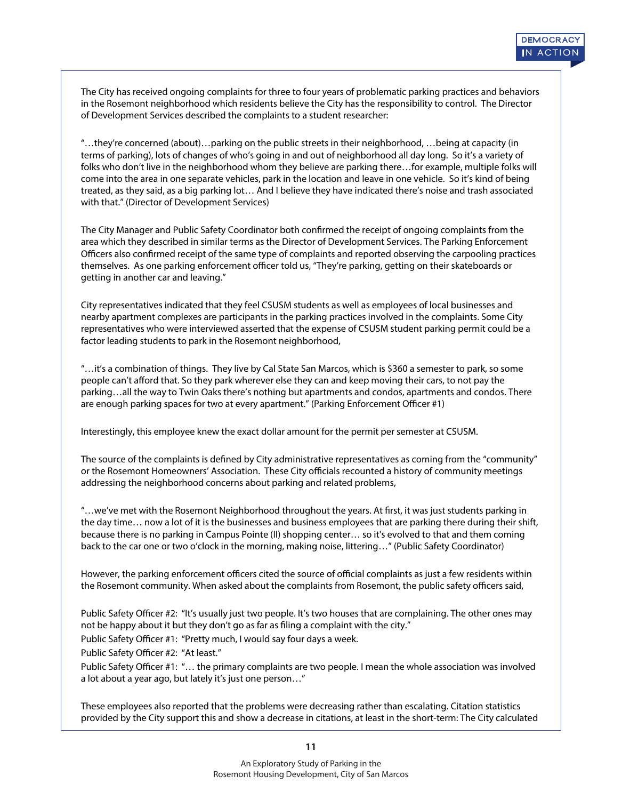The City has received ongoing complaints for three to four years of problematic parking practices and behaviors in the Rosemont neighborhood which residents believe the City has the responsibility to control. The Director of Development Services described the complaints to a student researcher:

"…they're concerned (about)…parking on the public streets in their neighborhood, …being at capacity (in terms of parking), lots of changes of who's going in and out of neighborhood all day long. So it's a variety of folks who don't live in the neighborhood whom they believe are parking there…for example, multiple folks will come into the area in one separate vehicles, park in the location and leave in one vehicle. So it's kind of being treated, as they said, as a big parking lot… And I believe they have indicated there's noise and trash associated with that." (Director of Development Services)

The City Manager and Public Safety Coordinator both confirmed the receipt of ongoing complaints from the area which they described in similar terms as the Director of Development Services. The Parking Enforcement Officers also confirmed receipt of the same type of complaints and reported observing the carpooling practices themselves. As one parking enforcement officer told us, "They're parking, getting on their skateboards or getting in another car and leaving."

City representatives indicated that they feel CSUSM students as well as employees of local businesses and nearby apartment complexes are participants in the parking practices involved in the complaints. Some City representatives who were interviewed asserted that the expense of CSUSM student parking permit could be a factor leading students to park in the Rosemont neighborhood,

"…it's a combination of things. They live by Cal State San Marcos, which is \$360 a semester to park, so some people can't afford that. So they park wherever else they can and keep moving their cars, to not pay the parking…all the way to Twin Oaks there's nothing but apartments and condos, apartments and condos. There are enough parking spaces for two at every apartment." (Parking Enforcement Officer #1)

Interestingly, this employee knew the exact dollar amount for the permit per semester at CSUSM.

The source of the complaints is defined by City administrative representatives as coming from the "community" or the Rosemont Homeowners' Association. These City officials recounted a history of community meetings addressing the neighborhood concerns about parking and related problems,

"...we've met with the Rosemont Neighborhood throughout the years. At first, it was just students parking in the day time… now a lot of it is the businesses and business employees that are parking there during their shift, because there is no parking in Campus Pointe (II) shopping center… so it's evolved to that and them coming back to the car one or two o'clock in the morning, making noise, littering…" (Public Safety Coordinator)

However, the parking enforcement officers cited the source of official complaints as just a few residents within the Rosemont community. When asked about the complaints from Rosemont, the public safety officers said,

Public Safety Officer #2: "It's usually just two people. It's two houses that are complaining. The other ones may not be happy about it but they don't go as far as filing a complaint with the city."

Public Safety Officer #1: "Pretty much, I would say four days a week.

Public Safety Officer #2: "At least."

Public Safety Officer #1: "... the primary complaints are two people. I mean the whole association was involved a lot about a year ago, but lately it's just one person…"

These employees also reported that the problems were decreasing rather than escalating. Citation statistics provided by the City support this and show a decrease in citations, at least in the short-term: The City calculated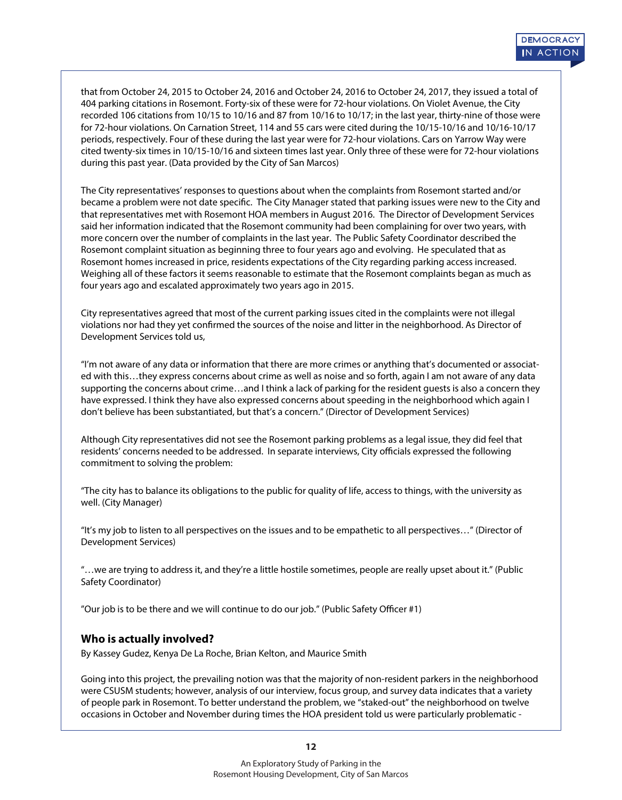that from October 24, 2015 to October 24, 2016 and October 24, 2016 to October 24, 2017, they issued a total of 404 parking citations in Rosemont. Forty-six of these were for 72-hour violations. On Violet Avenue, the City recorded 106 citations from 10/15 to 10/16 and 87 from 10/16 to 10/17; in the last year, thirty-nine of those were for 72-hour violations. On Carnation Street, 114 and 55 cars were cited during the 10/15-10/16 and 10/16-10/17 periods, respectively. Four of these during the last year were for 72-hour violations. Cars on Yarrow Way were cited twenty-six times in 10/15-10/16 and sixteen times last year. Only three of these were for 72-hour violations during this past year. (Data provided by the City of San Marcos)

The City representatives' responses to questions about when the complaints from Rosemont started and/or became a problem were not date specific. The City Manager stated that parking issues were new to the City and that representatives met with Rosemont HOA members in August 2016. The Director of Development Services said her information indicated that the Rosemont community had been complaining for over two years, with more concern over the number of complaints in the last year. The Public Safety Coordinator described the Rosemont complaint situation as beginning three to four years ago and evolving. He speculated that as Rosemont homes increased in price, residents expectations of the City regarding parking access increased. Weighing all of these factors it seems reasonable to estimate that the Rosemont complaints began as much as four years ago and escalated approximately two years ago in 2015.

City representatives agreed that most of the current parking issues cited in the complaints were not illegal violations nor had they yet confirmed the sources of the noise and litter in the neighborhood. As Director of Development Services told us,

"I'm not aware of any data or information that there are more crimes or anything that's documented or associated with this…they express concerns about crime as well as noise and so forth, again I am not aware of any data supporting the concerns about crime…and I think a lack of parking for the resident guests is also a concern they have expressed. I think they have also expressed concerns about speeding in the neighborhood which again I don't believe has been substantiated, but that's a concern." (Director of Development Services)

Although City representatives did not see the Rosemont parking problems as a legal issue, they did feel that residents' concerns needed to be addressed. In separate interviews, City officials expressed the following commitment to solving the problem:

"The city has to balance its obligations to the public for quality of life, access to things, with the university as well. (City Manager)

"It's my job to listen to all perspectives on the issues and to be empathetic to all perspectives…" (Director of Development Services)

"…we are trying to address it, and they're a little hostile sometimes, people are really upset about it." (Public Safety Coordinator)

"Our job is to be there and we will continue to do our job." (Public Safety Officer #1)

#### **Who is actually involved?**

By Kassey Gudez, Kenya De La Roche, Brian Kelton, and Maurice Smith

Going into this project, the prevailing notion was that the majority of non-resident parkers in the neighborhood were CSUSM students; however, analysis of our interview, focus group, and survey data indicates that a variety of people park in Rosemont. To better understand the problem, we "staked-out" the neighborhood on twelve occasions in October and November during times the HOA president told us were particularly problematic -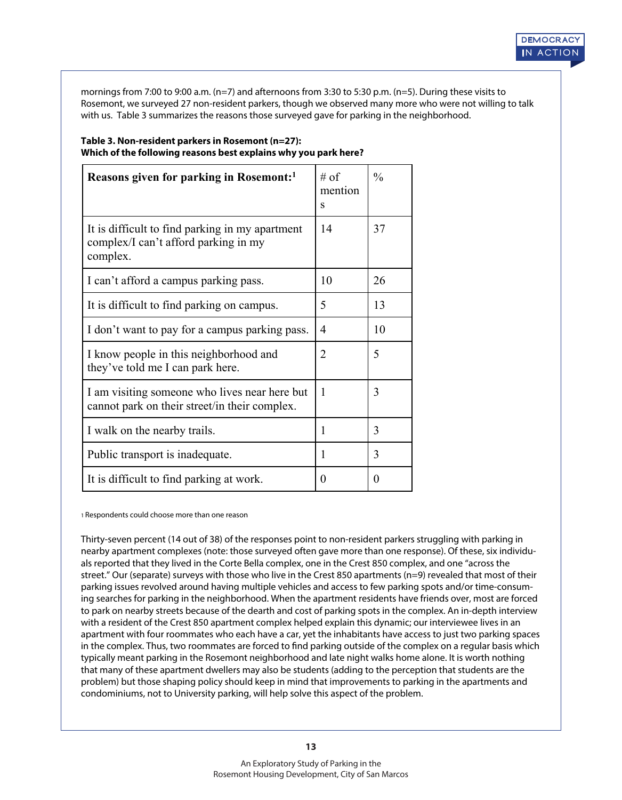mornings from 7:00 to 9:00 a.m. (n=7) and afternoons from 3:30 to 5:30 p.m. (n=5). During these visits to Rosemont, we surveyed 27 non-resident parkers, though we observed many more who were not willing to talk with us. Table 3 summarizes the reasons those surveyed gave for parking in the neighborhood.

| Reasons given for parking in Rosemont: <sup>1</sup>                                                 | # of<br>mention<br>$\mathbf{s}$ | $\frac{0}{0}$ |
|-----------------------------------------------------------------------------------------------------|---------------------------------|---------------|
| It is difficult to find parking in my apartment<br>complex/I can't afford parking in my<br>complex. | 14                              | 37            |
| I can't afford a campus parking pass.                                                               | 10                              | 26            |
| It is difficult to find parking on campus.                                                          | 5                               | 13            |
| I don't want to pay for a campus parking pass.                                                      | 4                               | 10            |
| I know people in this neighborhood and<br>they've told me I can park here.                          | $\overline{2}$                  | 5             |
| I am visiting someone who lives near here but<br>cannot park on their street/in their complex.      | $\mathbf{1}$                    | 3             |
| I walk on the nearby trails.                                                                        | 1                               | 3             |
| Public transport is inadequate.                                                                     | 1                               | 3             |
| It is difficult to find parking at work.                                                            | $\Omega$                        | 0             |

#### **Table 3. Non-resident parkers in Rosemont (n=27): Which of the following reasons best explains why you park here?**

1 Respondents could choose more than one reason

Thirty-seven percent (14 out of 38) of the responses point to non-resident parkers struggling with parking in nearby apartment complexes (note: those surveyed often gave more than one response). Of these, six individuals reported that they lived in the Corte Bella complex, one in the Crest 850 complex, and one "across the street." Our (separate) surveys with those who live in the Crest 850 apartments (n=9) revealed that most of their parking issues revolved around having multiple vehicles and access to few parking spots and/or time-consuming searches for parking in the neighborhood. When the apartment residents have friends over, most are forced to park on nearby streets because of the dearth and cost of parking spots in the complex. An in-depth interview with a resident of the Crest 850 apartment complex helped explain this dynamic; our interviewee lives in an apartment with four roommates who each have a car, yet the inhabitants have access to just two parking spaces in the complex. Thus, two roommates are forced to find parking outside of the complex on a regular basis which typically meant parking in the Rosemont neighborhood and late night walks home alone. It is worth nothing that many of these apartment dwellers may also be students (adding to the perception that students are the problem) but those shaping policy should keep in mind that improvements to parking in the apartments and condominiums, not to University parking, will help solve this aspect of the problem.

**13**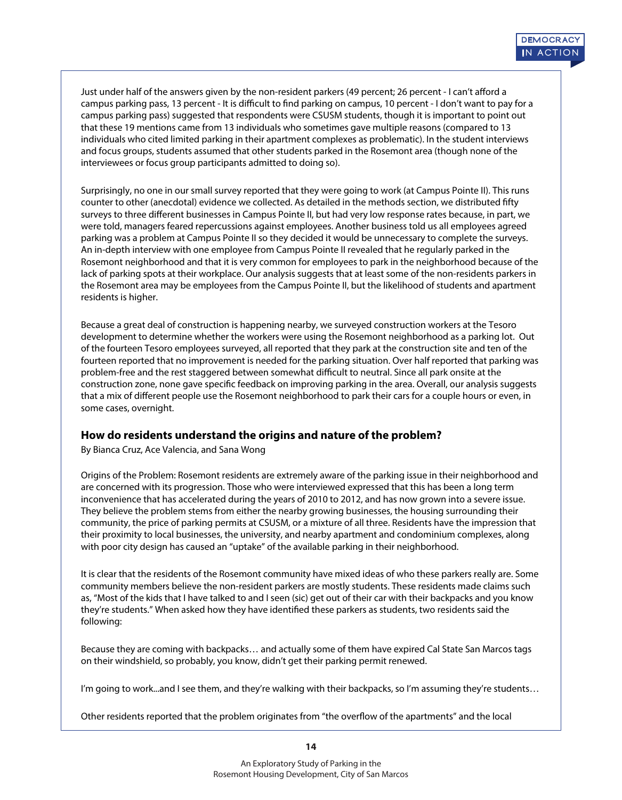Just under half of the answers given by the non-resident parkers (49 percent; 26 percent - I can't afford a campus parking pass, 13 percent - It is difficult to find parking on campus, 10 percent - I don't want to pay for a campus parking pass) suggested that respondents were CSUSM students, though it is important to point out that these 19 mentions came from 13 individuals who sometimes gave multiple reasons (compared to 13 individuals who cited limited parking in their apartment complexes as problematic). In the student interviews and focus groups, students assumed that other students parked in the Rosemont area (though none of the interviewees or focus group participants admitted to doing so).

Surprisingly, no one in our small survey reported that they were going to work (at Campus Pointe II). This runs counter to other (anecdotal) evidence we collected. As detailed in the methods section, we distributed fty surveys to three different businesses in Campus Pointe II, but had very low response rates because, in part, we were told, managers feared repercussions against employees. Another business told us all employees agreed parking was a problem at Campus Pointe II so they decided it would be unnecessary to complete the surveys. An in-depth interview with one employee from Campus Pointe II revealed that he regularly parked in the Rosemont neighborhood and that it is very common for employees to park in the neighborhood because of the lack of parking spots at their workplace. Our analysis suggests that at least some of the non-residents parkers in the Rosemont area may be employees from the Campus Pointe II, but the likelihood of students and apartment residents is higher.

Because a great deal of construction is happening nearby, we surveyed construction workers at the Tesoro development to determine whether the workers were using the Rosemont neighborhood as a parking lot. Out of the fourteen Tesoro employees surveyed, all reported that they park at the construction site and ten of the fourteen reported that no improvement is needed for the parking situation. Over half reported that parking was problem-free and the rest staggered between somewhat difficult to neutral. Since all park onsite at the construction zone, none gave specific feedback on improving parking in the area. Overall, our analysis suggests that a mix of different people use the Rosemont neighborhood to park their cars for a couple hours or even, in some cases, overnight.

#### **How do residents understand the origins and nature of the problem?**

By Bianca Cruz, Ace Valencia, and Sana Wong

Origins of the Problem: Rosemont residents are extremely aware of the parking issue in their neighborhood and are concerned with its progression. Those who were interviewed expressed that this has been a long term inconvenience that has accelerated during the years of 2010 to 2012, and has now grown into a severe issue. They believe the problem stems from either the nearby growing businesses, the housing surrounding their community, the price of parking permits at CSUSM, or a mixture of all three. Residents have the impression that their proximity to local businesses, the university, and nearby apartment and condominium complexes, along with poor city design has caused an "uptake" of the available parking in their neighborhood.

It is clear that the residents of the Rosemont community have mixed ideas of who these parkers really are. Some community members believe the non-resident parkers are mostly students. These residents made claims such as, "Most of the kids that I have talked to and I seen (sic) get out of their car with their backpacks and you know they're students." When asked how they have identified these parkers as students, two residents said the following:

Because they are coming with backpacks… and actually some of them have expired Cal State San Marcos tags on their windshield, so probably, you know, didn't get their parking permit renewed.

I'm going to work...and I see them, and they're walking with their backpacks, so I'm assuming they're students...

Other residents reported that the problem originates from "the overflow of the apartments" and the local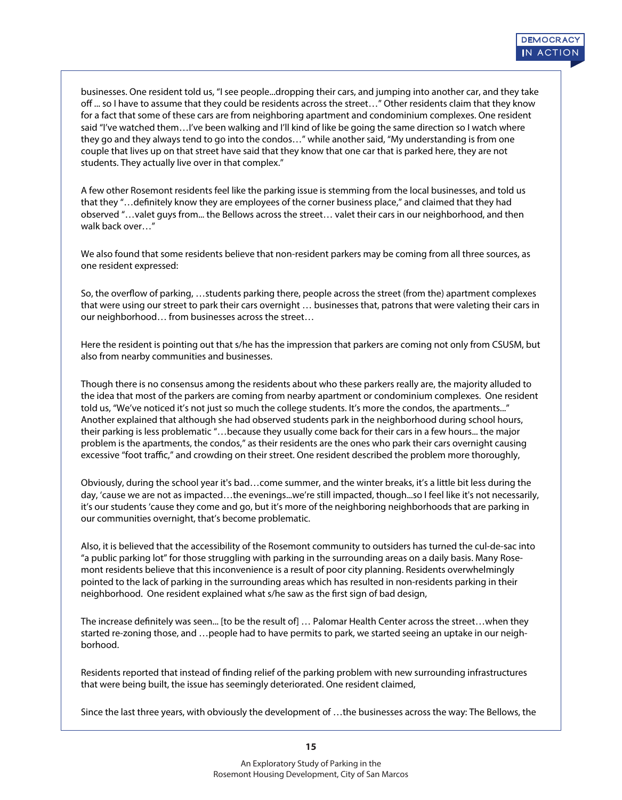businesses. One resident told us, "I see people...dropping their cars, and jumping into another car, and they take off ... so I have to assume that they could be residents across the street..." Other residents claim that they know for a fact that some of these cars are from neighboring apartment and condominium complexes. One resident said "I've watched them…I've been walking and I'll kind of like be going the same direction so I watch where they go and they always tend to go into the condos…" while another said, "My understanding is from one couple that lives up on that street have said that they know that one car that is parked here, they are not students. They actually live over in that complex."

A few other Rosemont residents feel like the parking issue is stemming from the local businesses, and told us that they "...definitely know they are employees of the corner business place," and claimed that they had observed "…valet guys from... the Bellows across the street… valet their cars in our neighborhood, and then walk back over…"

We also found that some residents believe that non-resident parkers may be coming from all three sources, as one resident expressed:

So, the overflow of parking, ... students parking there, people across the street (from the) apartment complexes that were using our street to park their cars overnight … businesses that, patrons that were valeting their cars in our neighborhood… from businesses across the street…

Here the resident is pointing out that s/he has the impression that parkers are coming not only from CSUSM, but also from nearby communities and businesses.

Though there is no consensus among the residents about who these parkers really are, the majority alluded to the idea that most of the parkers are coming from nearby apartment or condominium complexes. One resident told us, "We've noticed it's not just so much the college students. It's more the condos, the apartments..." Another explained that although she had observed students park in the neighborhood during school hours, their parking is less problematic "…because they usually come back for their cars in a few hours... the major problem is the apartments, the condos," as their residents are the ones who park their cars overnight causing excessive "foot traffic," and crowding on their street. One resident described the problem more thoroughly,

Obviously, during the school year it's bad…come summer, and the winter breaks, it's a little bit less during the day, 'cause we are not as impacted...the evenings...we're still impacted, though...so I feel like it's not necessarily, it's our students 'cause they come and go, but it's more of the neighboring neighborhoods that are parking in our communities overnight, that's become problematic.

Also, it is believed that the accessibility of the Rosemont community to outsiders has turned the cul-de-sac into "a public parking lot" for those struggling with parking in the surrounding areas on a daily basis. Many Rosemont residents believe that this inconvenience is a result of poor city planning. Residents overwhelmingly pointed to the lack of parking in the surrounding areas which has resulted in non-residents parking in their neighborhood. One resident explained what s/he saw as the first sign of bad design,

The increase definitely was seen... [to be the result of] ... Palomar Health Center across the street...when they started re-zoning those, and …people had to have permits to park, we started seeing an uptake in our neighborhood.

Residents reported that instead of finding relief of the parking problem with new surrounding infrastructures that were being built, the issue has seemingly deteriorated. One resident claimed,

Since the last three years, with obviously the development of …the businesses across the way: The Bellows, the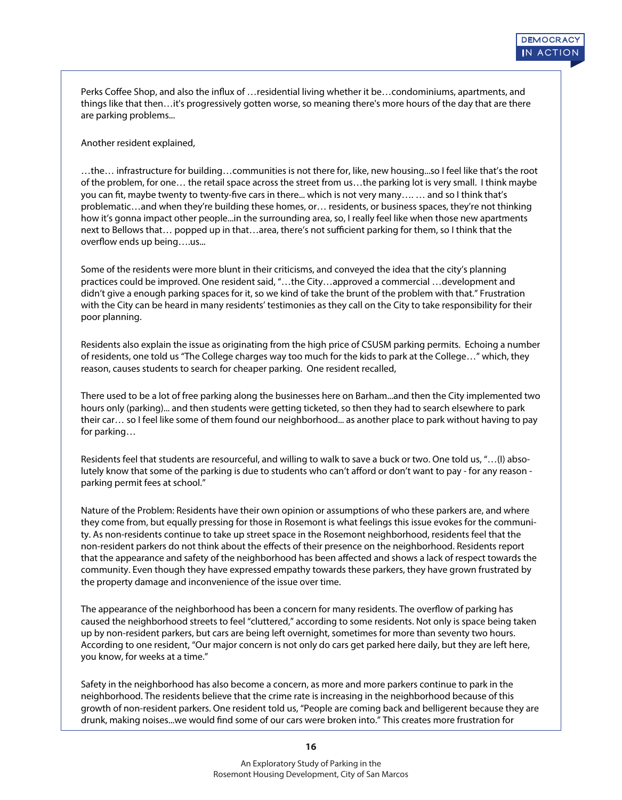Perks Coffee Shop, and also the influx of …residential living whether it be…condominiums, apartments, and things like that then…it's progressively gotten worse, so meaning there's more hours of the day that are there are parking problems...

Another resident explained,

…the… infrastructure for building…communities is not there for, like, new housing...so I feel like that's the root of the problem, for one… the retail space across the street from us…the parking lot is very small. I think maybe you can fit, maybe twenty to twenty-five cars in there... which is not very many.... … and so I think that's problematic…and when they're building these homes, or… residents, or business spaces, they're not thinking how it's gonna impact other people...in the surrounding area, so, I really feel like when those new apartments next to Bellows that... popped up in that...area, there's not sufficient parking for them, so I think that the overflow ends up being....us...

Some of the residents were more blunt in their criticisms, and conveyed the idea that the city's planning practices could be improved. One resident said, "…the City…approved a commercial …development and didn't give a enough parking spaces for it, so we kind of take the brunt of the problem with that." Frustration with the City can be heard in many residents' testimonies as they call on the City to take responsibility for their poor planning.

Residents also explain the issue as originating from the high price of CSUSM parking permits. Echoing a number of residents, one told us "The College charges way too much for the kids to park at the College…" which, they reason, causes students to search for cheaper parking. One resident recalled,

There used to be a lot of free parking along the businesses here on Barham...and then the City implemented two hours only (parking)... and then students were getting ticketed, so then they had to search elsewhere to park their car… so I feel like some of them found our neighborhood... as another place to park without having to pay for parking…

Residents feel that students are resourceful, and willing to walk to save a buck or two. One told us, "…(I) absolutely know that some of the parking is due to students who can't afford or don't want to pay - for any reason parking permit fees at school."

Nature of the Problem: Residents have their own opinion or assumptions of who these parkers are, and where they come from, but equally pressing for those in Rosemont is what feelings this issue evokes for the community. As non-residents continue to take up street space in the Rosemont neighborhood, residents feel that the non-resident parkers do not think about the effects of their presence on the neighborhood. Residents report that the appearance and safety of the neighborhood has been affected and shows a lack of respect towards the community. Even though they have expressed empathy towards these parkers, they have grown frustrated by the property damage and inconvenience of the issue over time.

The appearance of the neighborhood has been a concern for many residents. The overflow of parking has caused the neighborhood streets to feel "cluttered," according to some residents. Not only is space being taken up by non-resident parkers, but cars are being left overnight, sometimes for more than seventy two hours. According to one resident, "Our major concern is not only do cars get parked here daily, but they are left here, you know, for weeks at a time."

Safety in the neighborhood has also become a concern, as more and more parkers continue to park in the neighborhood. The residents believe that the crime rate is increasing in the neighborhood because of this growth of non-resident parkers. One resident told us, "People are coming back and belligerent because they are drunk, making noises...we would find some of our cars were broken into." This creates more frustration for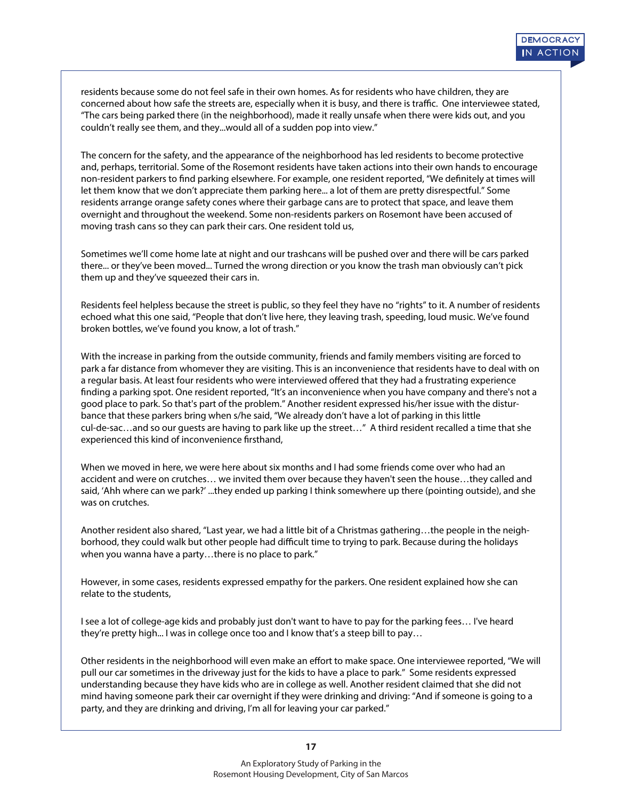residents because some do not feel safe in their own homes. As for residents who have children, they are concerned about how safe the streets are, especially when it is busy, and there is traffic. One interviewee stated, "The cars being parked there (in the neighborhood), made it really unsafe when there were kids out, and you couldn't really see them, and they...would all of a sudden pop into view."

The concern for the safety, and the appearance of the neighborhood has led residents to become protective and, perhaps, territorial. Some of the Rosemont residents have taken actions into their own hands to encourage non-resident parkers to find parking elsewhere. For example, one resident reported, "We definitely at times will let them know that we don't appreciate them parking here... a lot of them are pretty disrespectful." Some residents arrange orange safety cones where their garbage cans are to protect that space, and leave them overnight and throughout the weekend. Some non-residents parkers on Rosemont have been accused of moving trash cans so they can park their cars. One resident told us,

Sometimes we'll come home late at night and our trashcans will be pushed over and there will be cars parked there... or they've been moved... Turned the wrong direction or you know the trash man obviously can't pick them up and they've squeezed their cars in.

Residents feel helpless because the street is public, so they feel they have no "rights" to it. A number of residents echoed what this one said, "People that don't live here, they leaving trash, speeding, loud music. We've found broken bottles, we've found you know, a lot of trash."

With the increase in parking from the outside community, friends and family members visiting are forced to park a far distance from whomever they are visiting. This is an inconvenience that residents have to deal with on a regular basis. At least four residents who were interviewed offered that they had a frustrating experience finding a parking spot. One resident reported, "It's an inconvenience when you have company and there's not a good place to park. So that's part of the problem." Another resident expressed his/her issue with the disturbance that these parkers bring when s/he said, "We already don't have a lot of parking in this little cul-de-sac…and so our guests are having to park like up the street…" A third resident recalled a time that she experienced this kind of inconvenience firsthand,

When we moved in here, we were here about six months and I had some friends come over who had an accident and were on crutches… we invited them over because they haven't seen the house…they called and said, 'Ahh where can we park?' ...they ended up parking I think somewhere up there (pointing outside), and she was on crutches.

Another resident also shared, "Last year, we had a little bit of a Christmas gathering…the people in the neighborhood, they could walk but other people had difficult time to trying to park. Because during the holidays when you wanna have a party…there is no place to park."

However, in some cases, residents expressed empathy for the parkers. One resident explained how she can relate to the students,

I see a lot of college-age kids and probably just don't want to have to pay for the parking fees… I've heard they're pretty high... I was in college once too and I know that's a steep bill to pay…

Other residents in the neighborhood will even make an effort to make space. One interviewee reported, "We will pull our car sometimes in the driveway just for the kids to have a place to park." Some residents expressed understanding because they have kids who are in college as well. Another resident claimed that she did not mind having someone park their car overnight if they were drinking and driving: "And if someone is going to a party, and they are drinking and driving, I'm all for leaving your car parked."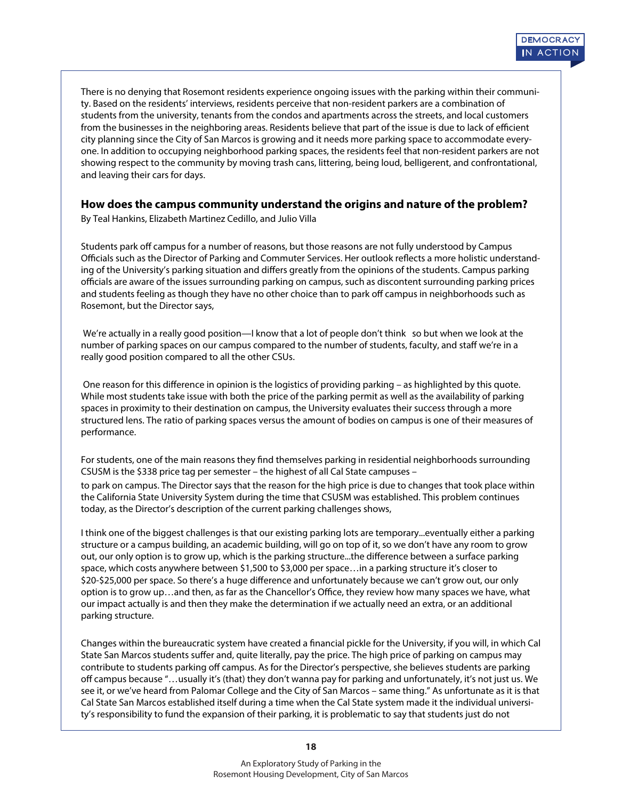they planning anter the eny of earnmarces is growing and winceds more parking space to accommodate overy consi<br>one. In addition to occupying neighborhood parking spaces, the residents feel that non-resident parkers are not oner in dudition to occupying neighborhood panting spaces, the residents recreated resident panters are not<br>showing respect to the community by moving trash cans, littering, being loud, belligerent, and confrontational, There is no denying that Rosemont residents experience ongoing issues with the parking within their community. Based on the residents' interviews, residents perceive that non-resident parkers are a combination of students from the university, tenants from the condos and apartments across the streets, and local customers from the businesses in the neighboring areas. Residents believe that part of the issue is due to lack of efficient city planning since the City of San Marcos is growing and it needs more parking space to accommodate everyand leaving their cars for days.

#### **How does the campus community understand the origins and nature of the problem?**

By Teal Hankins, Elizabeth Martinez Cedillo, and Julio Villa

Students park off campus for a number of reasons, but those reasons are not fully understood by Campus Officials such as the Director of Parking and Commuter Services. Her outlook reflects a more holistic understanding of the University's parking situation and differs greatly from the opinions of the students. Campus parking officials are aware of the issues surrounding parking on campus, such as discontent surrounding parking prices and students feeling as though they have no other choice than to park off campus in neighborhoods such as Rosemont, but the Director says,

We're actually in a really good position—I know that a lot of people don't think so but when we look at the number of parking spaces on our campus compared to the number of students, faculty, and staff we're in a really good position compared to all the other CSUs.

One reason for this difference in opinion is the logistics of providing parking - as highlighted by this quote. While most students take issue with both the price of the parking permit as well as the availability of parking spaces in proximity to their destination on campus, the University evaluates their success through a more structured lens. The ratio of parking spaces versus the amount of bodies on campus is one of their measures of performance.

For students, one of the main reasons they find themselves parking in residential neighborhoods surrounding CSUSM is the \$338 price tag per semester – the highest of all Cal State campuses –

to park on campus. The Director says that the reason for the high price is due to changes that took place within the California State University System during the time that CSUSM was established. This problem continues today, as the Director's description of the current parking challenges shows,

I think one of the biggest challenges is that our existing parking lots are temporary...eventually either a parking structure or a campus building, an academic building, will go on top of it, so we don't have any room to grow out, our only option is to grow up, which is the parking structure...the difference between a surface parking space, which costs anywhere between \$1,500 to \$3,000 per space…in a parking structure it's closer to \$20-\$25,000 per space. So there's a huge difference and unfortunately because we can't grow out, our only option is to grow up...and then, as far as the Chancellor's Office, they review how many spaces we have, what our impact actually is and then they make the determination if we actually need an extra, or an additional parking structure.

Changes within the bureaucratic system have created a financial pickle for the University, if you will, in which Cal State San Marcos students suffer and, quite literally, pay the price. The high price of parking on campus may contribute to students parking off campus. As for the Director's perspective, she believes students are parking off campus because "...usually it's (that) they don't wanna pay for parking and unfortunately, it's not just us. We see it, or we've heard from Palomar College and the City of San Marcos – same thing." As unfortunate as it is that Cal State San Marcos established itself during a time when the Cal State system made it the individual university's responsibility to fund the expansion of their parking, it is problematic to say that students just do not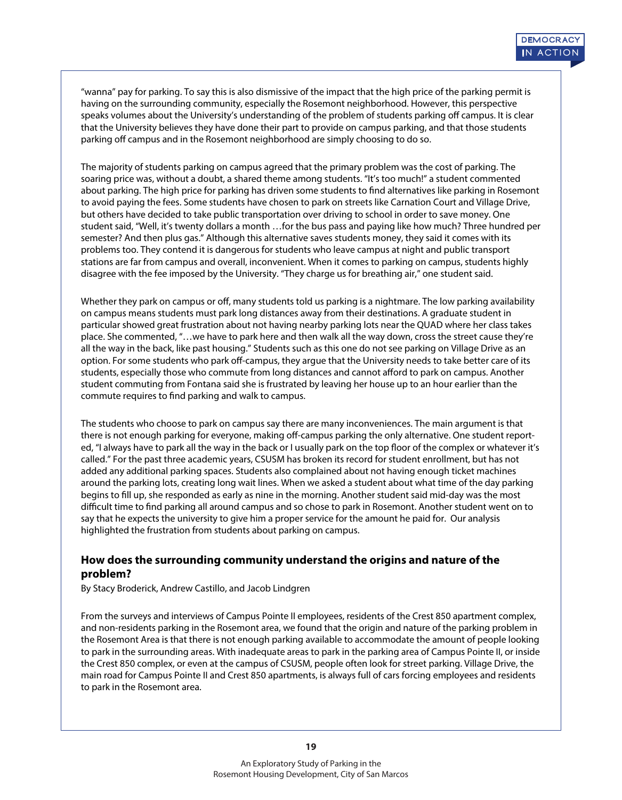"wanna" pay for parking. To say this is also dismissive of the impact that the high price of the parking permit is having on the surrounding community, especially the Rosemont neighborhood. However, this perspective speaks volumes about the University's understanding of the problem of students parking off campus. It is clear that the University believes they have done their part to provide on campus parking, and that those students parking off campus and in the Rosemont neighborhood are simply choosing to do so.

The majority of students parking on campus agreed that the primary problem was the cost of parking. The soaring price was, without a doubt, a shared theme among students. "It's too much!" a student commented about parking. The high price for parking has driven some students to find alternatives like parking in Rosemont to avoid paying the fees. Some students have chosen to park on streets like Carnation Court and Village Drive, but others have decided to take public transportation over driving to school in order to save money. One student said, "Well, it's twenty dollars a month …for the bus pass and paying like how much? Three hundred per semester? And then plus gas." Although this alternative saves students money, they said it comes with its problems too. They contend it is dangerous for students who leave campus at night and public transport stations are far from campus and overall, inconvenient. When it comes to parking on campus, students highly disagree with the fee imposed by the University. "They charge us for breathing air," one student said.

Whether they park on campus or off, many students told us parking is a nightmare. The low parking availability on campus means students must park long distances away from their destinations. A graduate student in particular showed great frustration about not having nearby parking lots near the QUAD where her class takes place. She commented, "…we have to park here and then walk all the way down, cross the street cause they're all the way in the back, like past housing." Students such as this one do not see parking on Village Drive as an option. For some students who park off-campus, they argue that the University needs to take better care of its students, especially those who commute from long distances and cannot afford to park on campus. Another student commuting from Fontana said she is frustrated by leaving her house up to an hour earlier than the commute requires to find parking and walk to campus.

The students who choose to park on campus say there are many inconveniences. The main argument is that there is not enough parking for everyone, making off-campus parking the only alternative. One student reported, "I always have to park all the way in the back or I usually park on the top floor of the complex or whatever it's called." For the past three academic years, CSUSM has broken its record for student enrollment, but has not added any additional parking spaces. Students also complained about not having enough ticket machines around the parking lots, creating long wait lines. When we asked a student about what time of the day parking begins to ll up, she responded as early as nine in the morning. Another student said mid-day was the most difficult time to find parking all around campus and so chose to park in Rosemont. Another student went on to say that he expects the university to give him a proper service for the amount he paid for. Our analysis highlighted the frustration from students about parking on campus.

# **How does the surrounding community understand the origins and nature of the problem?**

By Stacy Broderick, Andrew Castillo, and Jacob Lindgren

From the surveys and interviews of Campus Pointe II employees, residents of the Crest 850 apartment complex, and non-residents parking in the Rosemont area, we found that the origin and nature of the parking problem in the Rosemont Area is that there is not enough parking available to accommodate the amount of people looking to park in the surrounding areas. With inadequate areas to park in the parking area of Campus Pointe II, or inside the Crest 850 complex, or even at the campus of CSUSM, people often look for street parking. Village Drive, the main road for Campus Pointe II and Crest 850 apartments, is always full of cars forcing employees and residents to park in the Rosemont area.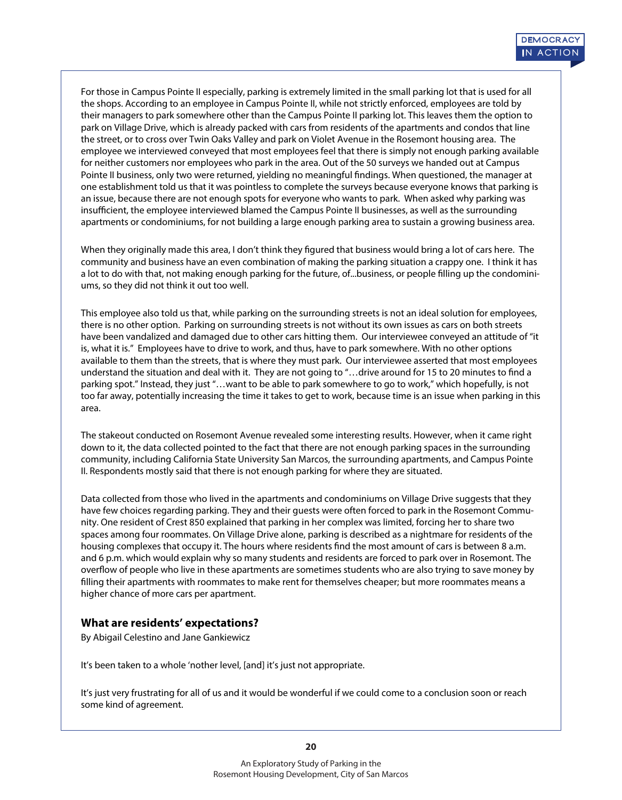For those in Campus Pointe II especially, parking is extremely limited in the small parking lot that is used for all the shops. According to an employee in Campus Pointe II, while not strictly enforced, employees are told by their managers to park somewhere other than the Campus Pointe II parking lot. This leaves them the option to park on Village Drive, which is already packed with cars from residents of the apartments and condos that line the street, or to cross over Twin Oaks Valley and park on Violet Avenue in the Rosemont housing area. The employee we interviewed conveyed that most employees feel that there is simply not enough parking available for neither customers nor employees who park in the area. Out of the 50 surveys we handed out at Campus Pointe II business, only two were returned, yielding no meaningful findings. When questioned, the manager at one establishment told us that it was pointless to complete the surveys because everyone knows that parking is an issue, because there are not enough spots for everyone who wants to park. When asked why parking was insufficient, the employee interviewed blamed the Campus Pointe II businesses, as well as the surrounding apartments or condominiums, for not building a large enough parking area to sustain a growing business area.

When they originally made this area, I don't think they figured that business would bring a lot of cars here. The community and business have an even combination of making the parking situation a crappy one. I think it has a lot to do with that, not making enough parking for the future, of...business, or people filling up the condominiums, so they did not think it out too well.

This employee also told us that, while parking on the surrounding streets is not an ideal solution for employees, there is no other option. Parking on surrounding streets is not without its own issues as cars on both streets have been vandalized and damaged due to other cars hitting them. Our interviewee conveyed an attitude of "it is, what it is." Employees have to drive to work, and thus, have to park somewhere. With no other options available to them than the streets, that is where they must park. Our interviewee asserted that most employees understand the situation and deal with it. They are not going to "...drive around for 15 to 20 minutes to find a parking spot." Instead, they just "…want to be able to park somewhere to go to work," which hopefully, is not too far away, potentially increasing the time it takes to get to work, because time is an issue when parking in this area.

The stakeout conducted on Rosemont Avenue revealed some interesting results. However, when it came right down to it, the data collected pointed to the fact that there are not enough parking spaces in the surrounding community, including California State University San Marcos, the surrounding apartments, and Campus Pointe II. Respondents mostly said that there is not enough parking for where they are situated.

Data collected from those who lived in the apartments and condominiums on Village Drive suggests that they have few choices regarding parking. They and their guests were often forced to park in the Rosemont Community. One resident of Crest 850 explained that parking in her complex was limited, forcing her to share two spaces among four roommates. On Village Drive alone, parking is described as a nightmare for residents of the housing complexes that occupy it. The hours where residents find the most amount of cars is between 8 a.m. and 6 p.m. which would explain why so many students and residents are forced to park over in Rosemont. The overflow of people who live in these apartments are sometimes students who are also trying to save money by filling their apartments with roommates to make rent for themselves cheaper; but more roommates means a higher chance of more cars per apartment.

#### **What are residents' expectations?**

By Abigail Celestino and Jane Gankiewicz

It's been taken to a whole 'nother level, [and] it's just not appropriate.

It's just very frustrating for all of us and it would be wonderful if we could come to a conclusion soon or reach some kind of agreement.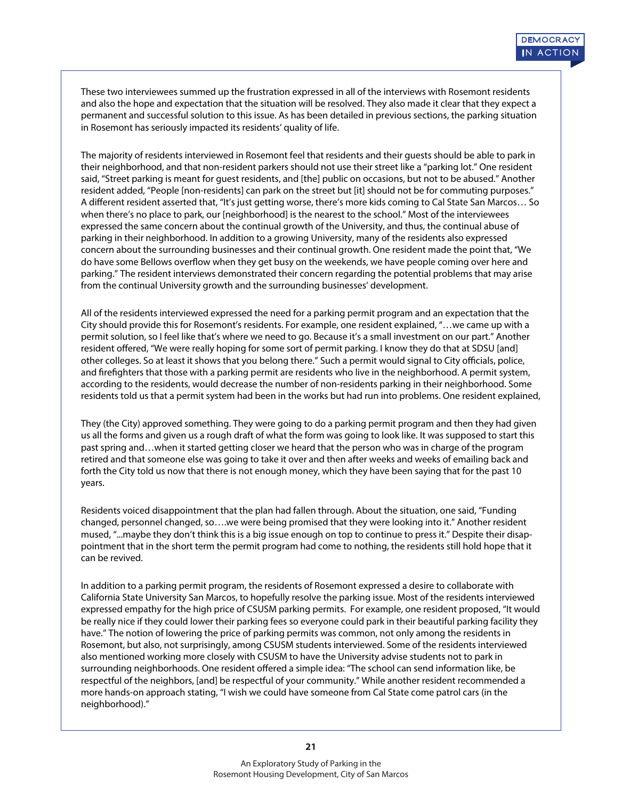These two interviewees summed up the frustration expressed in all of the interviews with Rosemont residents and also the hope and expectation that the situation will be resolved. They also made it clear that they expect a permanent and successful solution to this issue. As has been detailed in previous sections, the parking situation in Rosemont has seriously impacted its residents' quality of life.

The majority of residents interviewed in Rosemont feel that residents and their guests should be able to park in their neighborhood, and that non-resident parkers should not use their street like a "parking lot." One resident said, "Street parking is meant for guest residents, and [the] public on occasions, but not to be abused." Another resident added, "People [non-residents] can park on the street but [it] should not be for commuting purposes." A different resident asserted that, "It's just getting worse, there's more kids coming to Cal State San Marcos... So when there's no place to park, our [neighborhood] is the nearest to the school." Most of the interviewees expressed the same concern about the continual growth of the University, and thus, the continual abuse of parking in their neighborhood. In addition to a growing University, many of the residents also expressed concern about the surrounding businesses and their continual growth. One resident made the point that, "We do have some Bellows overflow when they get busy on the weekends, we have people coming over here and parking." The resident interviews demonstrated their concern regarding the potential problems that may arise from the continual University growth and the surrounding businesses' development.

All of the residents interviewed expressed the need for a parking permit program and an expectation that the City should provide this for Rosemont's residents. For example, one resident explained, "…we came up with a permit solution, so I feel like that's where we need to go. Because it's a small investment on our part." Another resident offered, "We were really hoping for some sort of permit parking. I know they do that at SDSU [and] other colleges. So at least it shows that you belong there." Such a permit would signal to City officials, police, and firefighters that those with a parking permit are residents who live in the neighborhood. A permit system, according to the residents, would decrease the number of non-residents parking in their neighborhood. Some residents told us that a permit system had been in the works but had run into problems. One resident explained,

They (the City) approved something. They were going to do a parking permit program and then they had given us all the forms and given us a rough draft of what the form was going to look like. It was supposed to start this past spring and…when it started getting closer we heard that the person who was in charge of the program retired and that someone else was going to take it over and then after weeks and weeks of emailing back and forth the City told us now that there is not enough money, which they have been saying that for the past 10 years.

Residents voiced disappointment that the plan had fallen through. About the situation, one said, "Funding changed, personnel changed, so….we were being promised that they were looking into it." Another resident mused, "...maybe they don't think this is a big issue enough on top to continue to press it." Despite their disappointment that in the short term the permit program had come to nothing, the residents still hold hope that it can be revived.

In addition to a parking permit program, the residents of Rosemont expressed a desire to collaborate with California State University San Marcos, to hopefully resolve the parking issue. Most of the residents interviewed expressed empathy for the high price of CSUSM parking permits. For example, one resident proposed, "It would be really nice if they could lower their parking fees so everyone could park in their beautiful parking facility they have." The notion of lowering the price of parking permits was common, not only among the residents in Rosemont, but also, not surprisingly, among CSUSM students interviewed. Some of the residents interviewed also mentioned working more closely with CSUSM to have the University advise students not to park in surrounding neighborhoods. One resident offered a simple idea: "The school can send information like, be respectful of the neighbors, [and] be respectful of your community." While another resident recommended a more hands-on approach stating, "I wish we could have someone from Cal State come patrol cars (in the neighborhood)."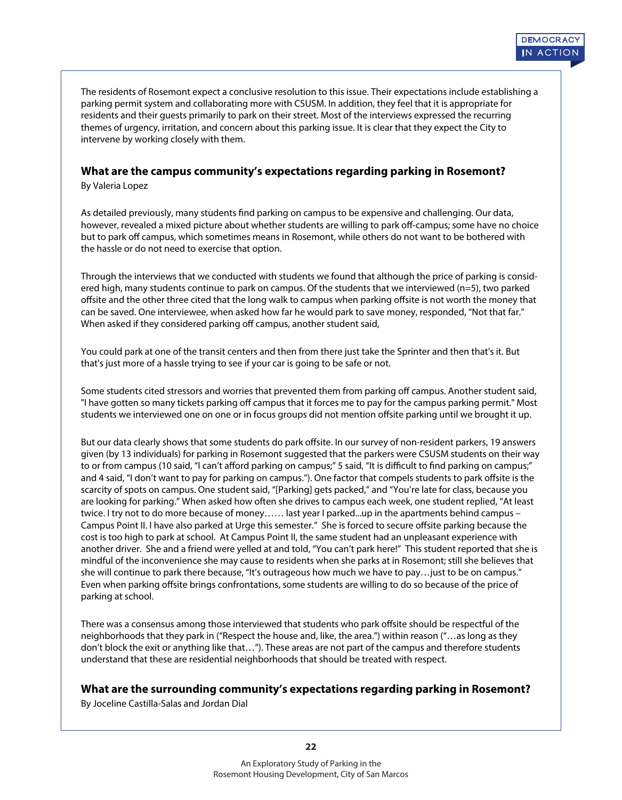The residents of Rosemont expect a conclusive resolution to this issue. Their expectations include establishing a parking permit system and collaborating more with CSUSM. In addition, they feel that it is appropriate for residents and their guests primarily to park on their street. Most of the interviews expressed the recurring themes of urgency, irritation, and concern about this parking issue. It is clear that they expect the City to intervene by working closely with them.

### **What are the campus community's expectations regarding parking in Rosemont?**

By Valeria Lopez

As detailed previously, many students find parking on campus to be expensive and challenging. Our data, however, revealed a mixed picture about whether students are willing to park off-campus; some have no choice but to park off campus, which sometimes means in Rosemont, while others do not want to be bothered with the hassle or do not need to exercise that option.

Through the interviews that we conducted with students we found that although the price of parking is considered high, many students continue to park on campus. Of the students that we interviewed (n=5), two parked offsite and the other three cited that the long walk to campus when parking offsite is not worth the money that can be saved. One interviewee, when asked how far he would park to save money, responded, "Not that far." When asked if they considered parking off campus, another student said,

You could park at one of the transit centers and then from there just take the Sprinter and then that's it. But that's just more of a hassle trying to see if your car is going to be safe or not.

Some students cited stressors and worries that prevented them from parking off campus. Another student said, "I have gotten so many tickets parking off campus that it forces me to pay for the campus parking permit." Most students we interviewed one on one or in focus groups did not mention offsite parking until we brought it up.

But our data clearly shows that some students do park offsite. In our survey of non-resident parkers, 19 answers given (by 13 individuals) for parking in Rosemont suggested that the parkers were CSUSM students on their way to or from campus (10 said, "I can't afford parking on campus;" 5 said, "It is difficult to find parking on campus;" and 4 said, "I don't want to pay for parking on campus."). One factor that compels students to park offsite is the scarcity of spots on campus. One student said, "[Parking] gets packed," and "You're late for class, because you are looking for parking." When asked how often she drives to campus each week, one student replied, "At least twice. I try not to do more because of money…… last year I parked...up in the apartments behind campus – Campus Point II. I have also parked at Urge this semester." She is forced to secure offsite parking because the cost is too high to park at school. At Campus Point II, the same student had an unpleasant experience with another driver. She and a friend were yelled at and told, "You can't park here!" This student reported that she is mindful of the inconvenience she may cause to residents when she parks at in Rosemont; still she believes that she will continue to park there because, "It's outrageous how much we have to pay…just to be on campus." Even when parking offsite brings confrontations, some students are willing to do so because of the price of parking at school.

There was a consensus among those interviewed that students who park offsite should be respectful of the neighborhoods that they park in ("Respect the house and, like, the area.") within reason ("…as long as they don't block the exit or anything like that…"). These areas are not part of the campus and therefore students understand that these are residential neighborhoods that should be treated with respect.

#### **What are the surrounding community's expectations regarding parking in Rosemont?**

By Joceline Castilla-Salas and Jordan Dial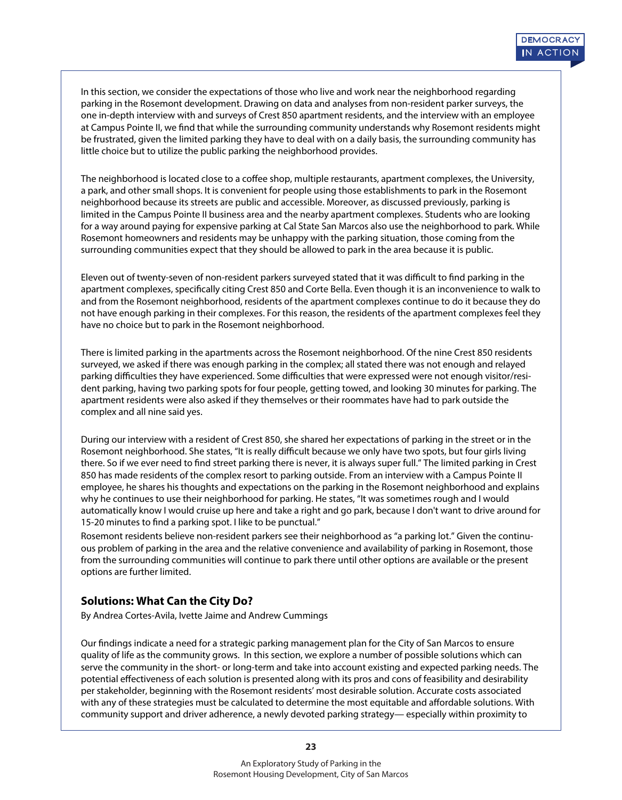In this section, we consider the expectations of those who live and work near the neighborhood regarding parking in the Rosemont development. Drawing on data and analyses from non-resident parker surveys, the one in-depth interview with and surveys of Crest 850 apartment residents, and the interview with an employee at Campus Pointe II, we find that while the surrounding community understands why Rosemont residents might be frustrated, given the limited parking they have to deal with on a daily basis, the surrounding community has little choice but to utilize the public parking the neighborhood provides.

The neighborhood is located close to a coffee shop, multiple restaurants, apartment complexes, the University, a park, and other small shops. It is convenient for people using those establishments to park in the Rosemont neighborhood because its streets are public and accessible. Moreover, as discussed previously, parking is limited in the Campus Pointe II business area and the nearby apartment complexes. Students who are looking for a way around paying for expensive parking at Cal State San Marcos also use the neighborhood to park. While Rosemont homeowners and residents may be unhappy with the parking situation, those coming from the surrounding communities expect that they should be allowed to park in the area because it is public.

Eleven out of twenty-seven of non-resident parkers surveyed stated that it was difficult to find parking in the apartment complexes, specifically citing Crest 850 and Corte Bella. Even though it is an inconvenience to walk to and from the Rosemont neighborhood, residents of the apartment complexes continue to do it because they do not have enough parking in their complexes. For this reason, the residents of the apartment complexes feel they have no choice but to park in the Rosemont neighborhood.

There is limited parking in the apartments across the Rosemont neighborhood. Of the nine Crest 850 residents surveyed, we asked if there was enough parking in the complex; all stated there was not enough and relayed parking difficulties they have experienced. Some difficulties that were expressed were not enough visitor/resident parking, having two parking spots for four people, getting towed, and looking 30 minutes for parking. The apartment residents were also asked if they themselves or their roommates have had to park outside the complex and all nine said yes.

During our interview with a resident of Crest 850, she shared her expectations of parking in the street or in the Rosemont neighborhood. She states, "It is really difficult because we only have two spots, but four girls living there. So if we ever need to find street parking there is never, it is always super full." The limited parking in Crest 850 has made residents of the complex resort to parking outside. From an interview with a Campus Pointe II employee, he shares his thoughts and expectations on the parking in the Rosemont neighborhood and explains why he continues to use their neighborhood for parking. He states, "It was sometimes rough and I would automatically know I would cruise up here and take a right and go park, because I don't want to drive around for 15-20 minutes to find a parking spot. I like to be punctual."

Rosemont residents believe non-resident parkers see their neighborhood as "a parking lot." Given the continuous problem of parking in the area and the relative convenience and availability of parking in Rosemont, those from the surrounding communities will continue to park there until other options are available or the present options are further limited.

# **Solutions: What Can the City Do?**

By Andrea Cortes-Avila, Ivette Jaime and Andrew Cummings

Our findings indicate a need for a strategic parking management plan for the City of San Marcos to ensure quality of life as the community grows. In this section, we explore a number of possible solutions which can serve the community in the short- or long-term and take into account existing and expected parking needs. The potential effectiveness of each solution is presented along with its pros and cons of feasibility and desirability per stakeholder, beginning with the Rosemont residents' most desirable solution. Accurate costs associated with any of these strategies must be calculated to determine the most equitable and affordable solutions. With community support and driver adherence, a newly devoted parking strategy— especially within proximity to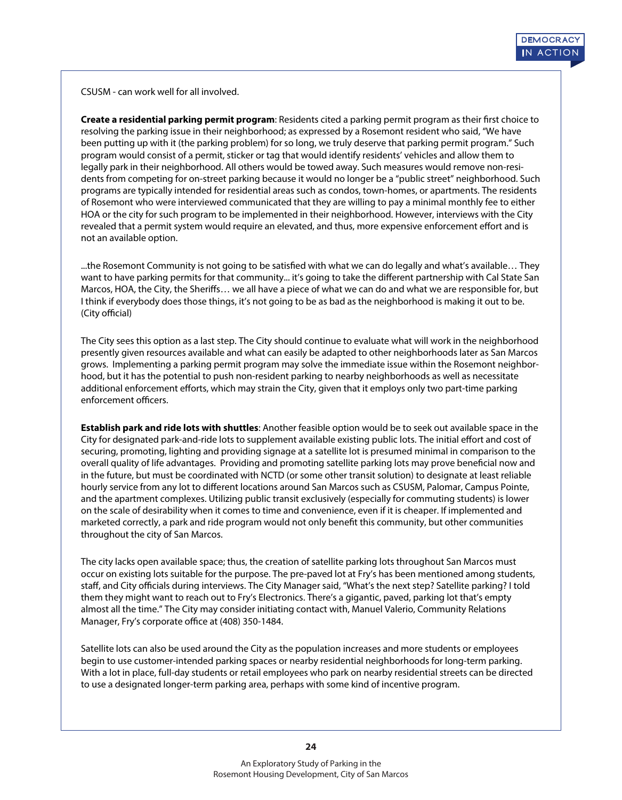CSUSM - can work well for all involved.

**Create a residential parking permit program**: Residents cited a parking permit program as their first choice to resolving the parking issue in their neighborhood; as expressed by a Rosemont resident who said, "We have been putting up with it (the parking problem) for so long, we truly deserve that parking permit program." Such program would consist of a permit, sticker or tag that would identify residents' vehicles and allow them to legally park in their neighborhood. All others would be towed away. Such measures would remove non-residents from competing for on-street parking because it would no longer be a "public street" neighborhood. Such programs are typically intended for residential areas such as condos, town-homes, or apartments. The residents of Rosemont who were interviewed communicated that they are willing to pay a minimal monthly fee to either HOA or the city for such program to be implemented in their neighborhood. However, interviews with the City revealed that a permit system would require an elevated, and thus, more expensive enforcement effort and is not an available option.

...the Rosemont Community is not going to be satised with what we can do legally and what's available… They want to have parking permits for that community... it's going to take the different partnership with Cal State San Marcos, HOA, the City, the Sheriffs... we all have a piece of what we can do and what we are responsible for, but I think if everybody does those things, it's not going to be as bad as the neighborhood is making it out to be. (City official)

The City sees this option as a last step. The City should continue to evaluate what will work in the neighborhood presently given resources available and what can easily be adapted to other neighborhoods later as San Marcos grows. Implementing a parking permit program may solve the immediate issue within the Rosemont neighborhood, but it has the potential to push non-resident parking to nearby neighborhoods as well as necessitate additional enforcement efforts, which may strain the City, given that it employs only two part-time parking enforcement officers.

**Establish park and ride lots with shuttles**: Another feasible option would be to seek out available space in the City for designated park-and-ride lots to supplement available existing public lots. The initial effort and cost of securing, promoting, lighting and providing signage at a satellite lot is presumed minimal in comparison to the overall quality of life advantages. Providing and promoting satellite parking lots may prove beneficial now and in the future, but must be coordinated with NCTD (or some other transit solution) to designate at least reliable hourly service from any lot to different locations around San Marcos such as CSUSM, Palomar, Campus Pointe, and the apartment complexes. Utilizing public transit exclusively (especially for commuting students) is lower on the scale of desirability when it comes to time and convenience, even if it is cheaper. If implemented and marketed correctly, a park and ride program would not only benefit this community, but other communities throughout the city of San Marcos.

The city lacks open available space; thus, the creation of satellite parking lots throughout San Marcos must occur on existing lots suitable for the purpose. The pre-paved lot at Fry's has been mentioned among students, staff, and City officials during interviews. The City Manager said, "What's the next step? Satellite parking? I told them they might want to reach out to Fry's Electronics. There's a gigantic, paved, parking lot that's empty almost all the time." The City may consider initiating contact with, Manuel Valerio, Community Relations Manager, Fry's corporate office at (408) 350-1484.

Satellite lots can also be used around the City as the population increases and more students or employees begin to use customer-intended parking spaces or nearby residential neighborhoods for long-term parking. With a lot in place, full-day students or retail employees who park on nearby residential streets can be directed to use a designated longer-term parking area, perhaps with some kind of incentive program.

**24**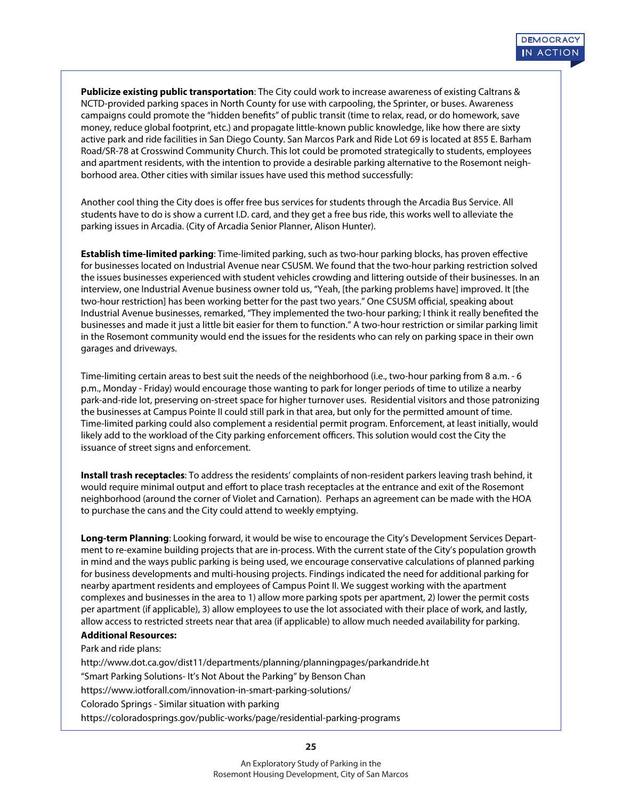**Publicize existing public transportation**: The City could work to increase awareness of existing Caltrans & NCTD-provided parking spaces in North County for use with carpooling, the Sprinter, or buses. Awareness campaigns could promote the "hidden benefits" of public transit (time to relax, read, or do homework, save money, reduce global footprint, etc.) and propagate little-known public knowledge, like how there are sixty active park and ride facilities in San Diego County. San Marcos Park and Ride Lot 69 is located at 855 E. Barham Road/SR-78 at Crosswind Community Church. This lot could be promoted strategically to students, employees and apartment residents, with the intention to provide a desirable parking alternative to the Rosemont neighborhood area. Other cities with similar issues have used this method successfully:

Another cool thing the City does is offer free bus services for students through the Arcadia Bus Service. All students have to do is show a current I.D. card, and they get a free bus ride, this works well to alleviate the parking issues in Arcadia. (City of Arcadia Senior Planner, Alison Hunter).

**Establish time-limited parking**: Time-limited parking, such as two-hour parking blocks, has proven effective for businesses located on Industrial Avenue near CSUSM. We found that the two-hour parking restriction solved the issues businesses experienced with student vehicles crowding and littering outside of their businesses. In an interview, one Industrial Avenue business owner told us, "Yeah, [the parking problems have] improved. It [the two-hour restriction] has been working better for the past two years." One CSUSM official, speaking about Industrial Avenue businesses, remarked, "They implemented the two-hour parking; I think it really benefited the businesses and made it just a little bit easier for them to function." A two-hour restriction or similar parking limit in the Rosemont community would end the issues for the residents who can rely on parking space in their own garages and driveways.

Time-limiting certain areas to best suit the needs of the neighborhood (i.e., two-hour parking from 8 a.m. - 6 p.m., Monday - Friday) would encourage those wanting to park for longer periods of time to utilize a nearby park-and-ride lot, preserving on-street space for higher turnover uses. Residential visitors and those patronizing the businesses at Campus Pointe II could still park in that area, but only for the permitted amount of time. Time-limited parking could also complement a residential permit program. Enforcement, at least initially, would likely add to the workload of the City parking enforcement officers. This solution would cost the City the issuance of street signs and enforcement.

**Install trash receptacles**: To address the residents' complaints of non-resident parkers leaving trash behind, it would require minimal output and effort to place trash receptacles at the entrance and exit of the Rosemont neighborhood (around the corner of Violet and Carnation). Perhaps an agreement can be made with the HOA to purchase the cans and the City could attend to weekly emptying.

**Long-term Planning**: Looking forward, it would be wise to encourage the City's Development Services Department to re-examine building projects that are in-process. With the current state of the City's population growth in mind and the ways public parking is being used, we encourage conservative calculations of planned parking for business developments and multi-housing projects. Findings indicated the need for additional parking for nearby apartment residents and employees of Campus Point II. We suggest working with the apartment complexes and businesses in the area to 1) allow more parking spots per apartment, 2) lower the permit costs per apartment (if applicable), 3) allow employees to use the lot associated with their place of work, and lastly, allow access to restricted streets near that area (if applicable) to allow much needed availability for parking.

#### **Additional Resources:**

Park and ride plans:

http://www.dot.ca.gov/dist11/departments/planning/planningpages/parkandride.ht

"Smart Parking Solutions- It's Not About the Parking" by Benson Chan

https://www.iotforall.com/innovation-in-smart-parking-solutions/

Colorado Springs - Similar situation with parking

https://coloradosprings.gov/public-works/page/residential-parking-programs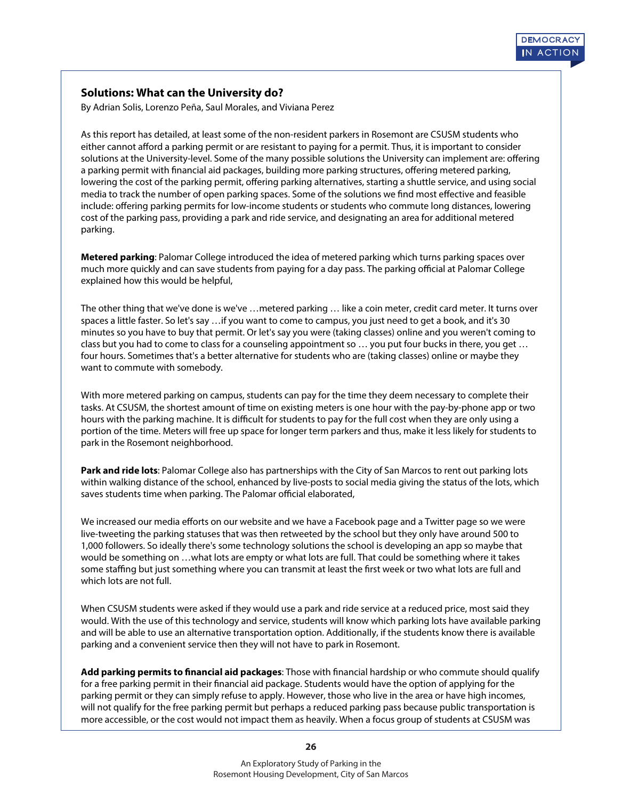# **Solutions: What can the University do?**

By Adrian Solis, Lorenzo Peña, Saul Morales, and Viviana Perez

As this report has detailed, at least some of the non-resident parkers in Rosemont are CSUSM students who either cannot afford a parking permit or are resistant to paying for a permit. Thus, it is important to consider solutions at the University-level. Some of the many possible solutions the University can implement are: offering a parking permit with financial aid packages, building more parking structures, offering metered parking, lowering the cost of the parking permit, offering parking alternatives, starting a shuttle service, and using social media to track the number of open parking spaces. Some of the solutions we find most effective and feasible include: offering parking permits for low-income students or students who commute long distances, lowering cost of the parking pass, providing a park and ride service, and designating an area for additional metered parking.

**Metered parking**: Palomar College introduced the idea of metered parking which turns parking spaces over much more quickly and can save students from paying for a day pass. The parking official at Palomar College explained how this would be helpful,

The other thing that we've done is we've …metered parking … like a coin meter, credit card meter. It turns over spaces a little faster. So let's say …if you want to come to campus, you just need to get a book, and it's 30 minutes so you have to buy that permit. Or let's say you were (taking classes) online and you weren't coming to class but you had to come to class for a counseling appointment so … you put four bucks in there, you get … four hours. Sometimes that's a better alternative for students who are (taking classes) online or maybe they want to commute with somebody.

With more metered parking on campus, students can pay for the time they deem necessary to complete their tasks. At CSUSM, the shortest amount of time on existing meters is one hour with the pay-by-phone app or two hours with the parking machine. It is difficult for students to pay for the full cost when they are only using a portion of the time. Meters will free up space for longer term parkers and thus, make it less likely for students to park in the Rosemont neighborhood.

**Park and ride lots**: Palomar College also has partnerships with the City of San Marcos to rent out parking lots within walking distance of the school, enhanced by live-posts to social media giving the status of the lots, which saves students time when parking. The Palomar official elaborated,

We increased our media efforts on our website and we have a Facebook page and a Twitter page so we were live-tweeting the parking statuses that was then retweeted by the school but they only have around 500 to 1,000 followers. So ideally there's some technology solutions the school is developing an app so maybe that would be something on …what lots are empty or what lots are full. That could be something where it takes some staffing but just something where you can transmit at least the first week or two what lots are full and which lots are not full.

When CSUSM students were asked if they would use a park and ride service at a reduced price, most said they would. With the use of this technology and service, students will know which parking lots have available parking and will be able to use an alternative transportation option. Additionally, if the students know there is available parking and a convenient service then they will not have to park in Rosemont.

Add parking permits to financial aid packages: Those with financial hardship or who commute should qualify for a free parking permit in their financial aid package. Students would have the option of applying for the parking permit or they can simply refuse to apply. However, those who live in the area or have high incomes, will not qualify for the free parking permit but perhaps a reduced parking pass because public transportation is more accessible, or the cost would not impact them as heavily. When a focus group of students at CSUSM was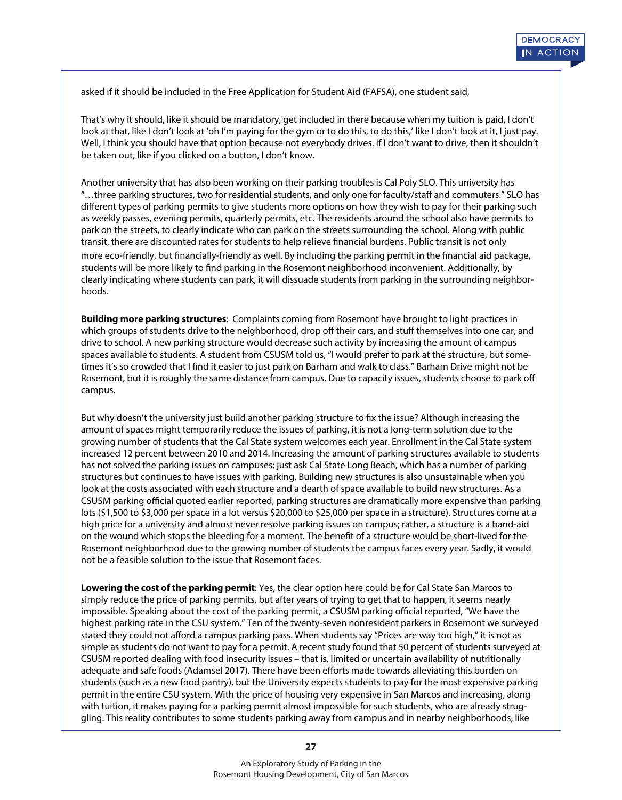asked if it should be included in the Free Application for Student Aid (FAFSA), one student said,

That's why it should, like it should be mandatory, get included in there because when my tuition is paid, I don't look at that, like I don't look at 'oh I'm paying for the gym or to do this, to do this,' like I don't look at it, I just pay. Well, I think you should have that option because not everybody drives. If I don't want to drive, then it shouldn't be taken out, like if you clicked on a button, I don't know.

Another university that has also been working on their parking troubles is Cal Poly SLO. This university has "...three parking structures, two for residential students, and only one for faculty/staff and commuters." SLO has different types of parking permits to give students more options on how they wish to pay for their parking such as weekly passes, evening permits, quarterly permits, etc. The residents around the school also have permits to park on the streets, to clearly indicate who can park on the streets surrounding the school. Along with public transit, there are discounted rates for students to help relieve financial burdens. Public transit is not only more eco-friendly, but financially-friendly as well. By including the parking permit in the financial aid package, students will be more likely to find parking in the Rosemont neighborhood inconvenient. Additionally, by clearly indicating where students can park, it will dissuade students from parking in the surrounding neighborhoods.

**Building more parking structures**: Complaints coming from Rosemont have brought to light practices in which groups of students drive to the neighborhood, drop off their cars, and stuff themselves into one car, and drive to school. A new parking structure would decrease such activity by increasing the amount of campus spaces available to students. A student from CSUSM told us, "I would prefer to park at the structure, but sometimes it's so crowded that I find it easier to just park on Barham and walk to class." Barham Drive might not be Rosemont, but it is roughly the same distance from campus. Due to capacity issues, students choose to park o campus.

But why doesn't the university just build another parking structure to fix the issue? Although increasing the amount of spaces might temporarily reduce the issues of parking, it is not a long-term solution due to the growing number of students that the Cal State system welcomes each year. Enrollment in the Cal State system increased 12 percent between 2010 and 2014. Increasing the amount of parking structures available to students has not solved the parking issues on campuses; just ask Cal State Long Beach, which has a number of parking structures but continues to have issues with parking. Building new structures is also unsustainable when you look at the costs associated with each structure and a dearth of space available to build new structures. As a CSUSM parking official quoted earlier reported, parking structures are dramatically more expensive than parking lots (\$1,500 to \$3,000 per space in a lot versus \$20,000 to \$25,000 per space in a structure). Structures come at a high price for a university and almost never resolve parking issues on campus; rather, a structure is a band-aid on the wound which stops the bleeding for a moment. The benefit of a structure would be short-lived for the Rosemont neighborhood due to the growing number of students the campus faces every year. Sadly, it would not be a feasible solution to the issue that Rosemont faces.

**Lowering the cost of the parking permit**: Yes, the clear option here could be for Cal State San Marcos to simply reduce the price of parking permits, but after years of trying to get that to happen, it seems nearly impossible. Speaking about the cost of the parking permit, a CSUSM parking official reported, "We have the highest parking rate in the CSU system." Ten of the twenty-seven nonresident parkers in Rosemont we surveyed stated they could not afford a campus parking pass. When students say "Prices are way too high," it is not as simple as students do not want to pay for a permit. A recent study found that 50 percent of students surveyed at CSUSM reported dealing with food insecurity issues – that is, limited or uncertain availability of nutritionally adequate and safe foods (Adamsel 2017). There have been efforts made towards alleviating this burden on students (such as a new food pantry), but the University expects students to pay for the most expensive parking permit in the entire CSU system. With the price of housing very expensive in San Marcos and increasing, along with tuition, it makes paying for a parking permit almost impossible for such students, who are already struggling. This reality contributes to some students parking away from campus and in nearby neighborhoods, like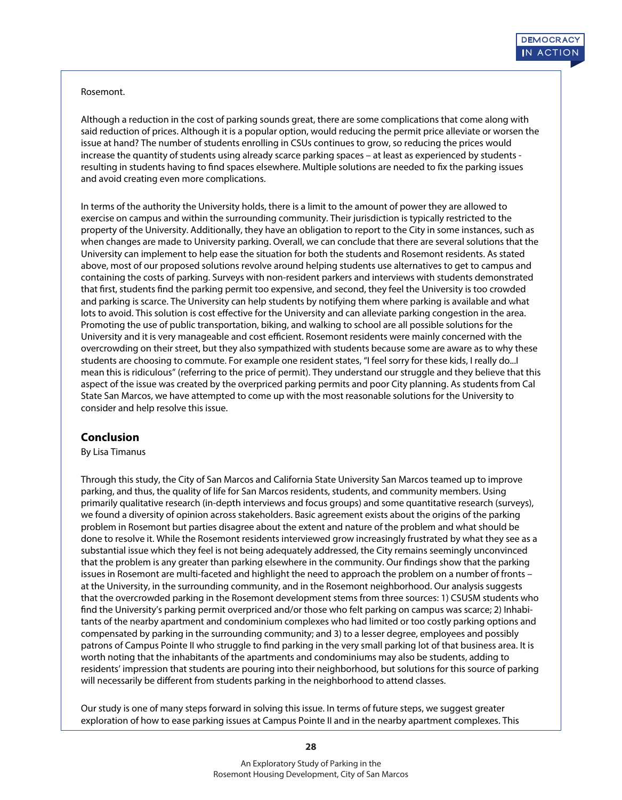#### Rosemont.

Although a reduction in the cost of parking sounds great, there are some complications that come along with said reduction of prices. Although it is a popular option, would reducing the permit price alleviate or worsen the issue at hand? The number of students enrolling in CSUs continues to grow, so reducing the prices would increase the quantity of students using already scarce parking spaces – at least as experienced by students resulting in students having to find spaces elsewhere. Multiple solutions are needed to fix the parking issues and avoid creating even more complications.

In terms of the authority the University holds, there is a limit to the amount of power they are allowed to exercise on campus and within the surrounding community. Their jurisdiction is typically restricted to the property of the University. Additionally, they have an obligation to report to the City in some instances, such as when changes are made to University parking. Overall, we can conclude that there are several solutions that the University can implement to help ease the situation for both the students and Rosemont residents. As stated above, most of our proposed solutions revolve around helping students use alternatives to get to campus and containing the costs of parking. Surveys with non-resident parkers and interviews with students demonstrated that first, students find the parking permit too expensive, and second, they feel the University is too crowded and parking is scarce. The University can help students by notifying them where parking is available and what lots to avoid. This solution is cost effective for the University and can alleviate parking congestion in the area. Promoting the use of public transportation, biking, and walking to school are all possible solutions for the University and it is very manageable and cost efficient. Rosemont residents were mainly concerned with the overcrowding on their street, but they also sympathized with students because some are aware as to why these students are choosing to commute. For example one resident states, "I feel sorry for these kids, I really do...I mean this is ridiculous" (referring to the price of permit). They understand our struggle and they believe that this aspect of the issue was created by the overpriced parking permits and poor City planning. As students from Cal State San Marcos, we have attempted to come up with the most reasonable solutions for the University to consider and help resolve this issue.

#### **Conclusion**

By Lisa Timanus

Through this study, the City of San Marcos and California State University San Marcos teamed up to improve parking, and thus, the quality of life for San Marcos residents, students, and community members. Using primarily qualitative research (in-depth interviews and focus groups) and some quantitative research (surveys), we found a diversity of opinion across stakeholders. Basic agreement exists about the origins of the parking problem in Rosemont but parties disagree about the extent and nature of the problem and what should be done to resolve it. While the Rosemont residents interviewed grow increasingly frustrated by what they see as a substantial issue which they feel is not being adequately addressed, the City remains seemingly unconvinced that the problem is any greater than parking elsewhere in the community. Our findings show that the parking issues in Rosemont are multi-faceted and highlight the need to approach the problem on a number of fronts – at the University, in the surrounding community, and in the Rosemont neighborhood. Our analysis suggests that the overcrowded parking in the Rosemont development stems from three sources: 1) CSUSM students who find the University's parking permit overpriced and/or those who felt parking on campus was scarce; 2) Inhabitants of the nearby apartment and condominium complexes who had limited or too costly parking options and compensated by parking in the surrounding community; and 3) to a lesser degree, employees and possibly patrons of Campus Pointe II who struggle to find parking in the very small parking lot of that business area. It is worth noting that the inhabitants of the apartments and condominiums may also be students, adding to residents' impression that students are pouring into their neighborhood, but solutions for this source of parking will necessarily be different from students parking in the neighborhood to attend classes.

Our study is one of many steps forward in solving this issue. In terms of future steps, we suggest greater exploration of how to ease parking issues at Campus Pointe II and in the nearby apartment complexes. This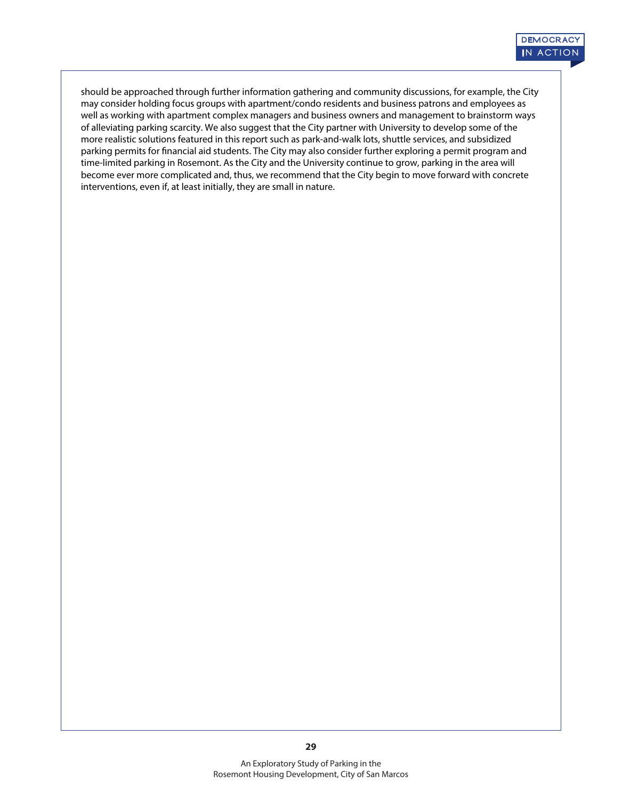should be approached through further information gathering and community discussions, for example, the City may consider holding focus groups with apartment/condo residents and business patrons and employees as well as working with apartment complex managers and business owners and management to brainstorm ways of alleviating parking scarcity. We also suggest that the City partner with University to develop some of the more realistic solutions featured in this report such as park-and-walk lots, shuttle services, and subsidized parking permits for financial aid students. The City may also consider further exploring a permit program and time-limited parking in Rosemont. As the City and the University continue to grow, parking in the area will become ever more complicated and, thus, we recommend that the City begin to move forward with concrete interventions, even if, at least initially, they are small in nature.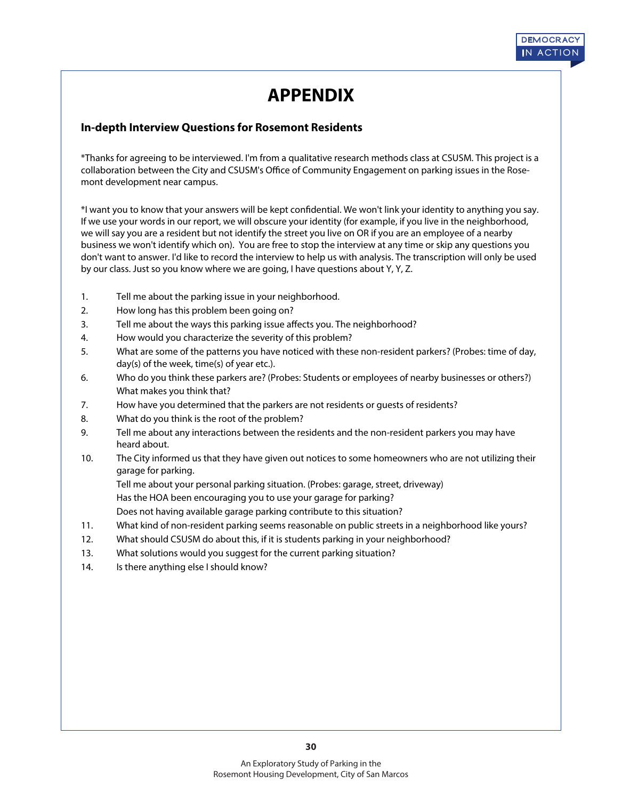# **APPENDIX**

# **In-depth Interview Questions for Rosemont Residents**

\*Thanks for agreeing to be interviewed. I'm from a qualitative research methods class at CSUSM. This project is a collaboration between the City and CSUSM's Office of Community Engagement on parking issues in the Rosemont development near campus.

\*I want you to know that your answers will be kept condential. We won't link your identity to anything you say. If we use your words in our report, we will obscure your identity (for example, if you live in the neighborhood, we will say you are a resident but not identify the street you live on OR if you are an employee of a nearby business we won't identify which on). You are free to stop the interview at any time or skip any questions you don't want to answer. I'd like to record the interview to help us with analysis. The transcription will only be used by our class. Just so you know where we are going, I have questions about Y, Y, Z.

- 1. Tell me about the parking issue in your neighborhood.
- 2. How long has this problem been going on?
- 3. Tell me about the ways this parking issue affects you. The neighborhood?
- 4. How would you characterize the severity of this problem?
- 5. What are some of the patterns you have noticed with these non-resident parkers? (Probes: time of day, day(s) of the week, time(s) of year etc.).
- 6. Who do you think these parkers are? (Probes: Students or employees of nearby businesses or others?) What makes you think that?
- 7. How have you determined that the parkers are not residents or guests of residents?
- 8. What do you think is the root of the problem?
- 9. Tell me about any interactions between the residents and the non-resident parkers you may have heard about.
- 10. The City informed us that they have given out notices to some homeowners who are not utilizing their garage for parking.

Tell me about your personal parking situation. (Probes: garage, street, driveway)

Has the HOA been encouraging you to use your garage for parking?

Does not having available garage parking contribute to this situation?

- 11. What kind of non-resident parking seems reasonable on public streets in a neighborhood like yours?
- 12. What should CSUSM do about this, if it is students parking in your neighborhood?
- 13. What solutions would you suggest for the current parking situation?
- 14. Is there anything else I should know?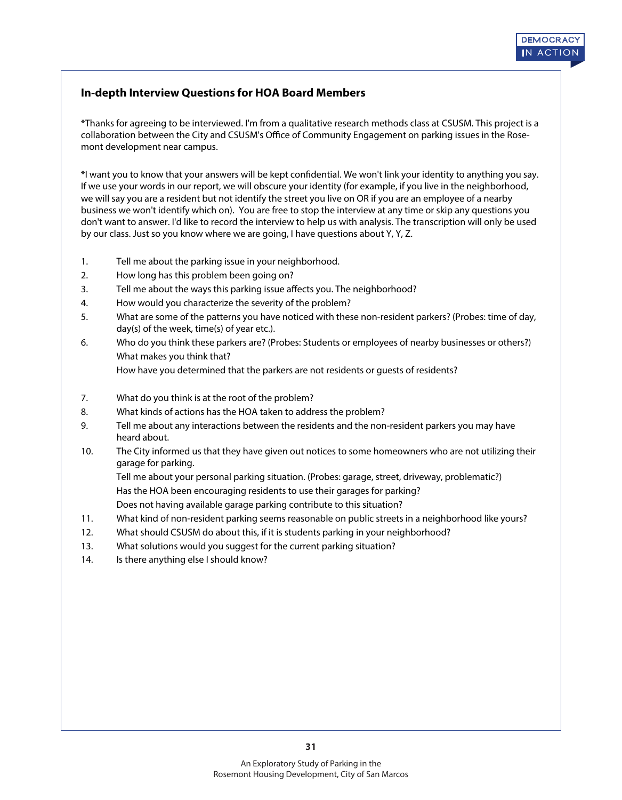# **In-depth Interview Questions for HOA Board Members**

\*Thanks for agreeing to be interviewed. I'm from a qualitative research methods class at CSUSM. This project is a collaboration between the City and CSUSM's Office of Community Engagement on parking issues in the Rosemont development near campus.

\*I want you to know that your answers will be kept condential. We won't link your identity to anything you say. If we use your words in our report, we will obscure your identity (for example, if you live in the neighborhood, we will say you are a resident but not identify the street you live on OR if you are an employee of a nearby business we won't identify which on). You are free to stop the interview at any time or skip any questions you don't want to answer. I'd like to record the interview to help us with analysis. The transcription will only be used by our class. Just so you know where we are going, I have questions about Y, Y, Z.

- 1. Tell me about the parking issue in your neighborhood.
- 2. How long has this problem been going on?
- 3. Tell me about the ways this parking issue affects you. The neighborhood?
- 4. How would you characterize the severity of the problem?
- 5. What are some of the patterns you have noticed with these non-resident parkers? (Probes: time of day, day(s) of the week, time(s) of year etc.).
- 6. Who do you think these parkers are? (Probes: Students or employees of nearby businesses or others?) What makes you think that? How have you determined that the parkers are not residents or guests of residents?
- 7. What do you think is at the root of the problem?
- 8. What kinds of actions has the HOA taken to address the problem?
- 9. Tell me about any interactions between the residents and the non-resident parkers you may have heard about.
- 10. The City informed us that they have given out notices to some homeowners who are not utilizing their garage for parking.

 Tell me about your personal parking situation. (Probes: garage, street, driveway, problematic?) Has the HOA been encouraging residents to use their garages for parking? Does not having available garage parking contribute to this situation?

- 11. What kind of non-resident parking seems reasonable on public streets in a neighborhood like yours?
- 12. What should CSUSM do about this, if it is students parking in your neighborhood?
- 13. What solutions would you suggest for the current parking situation?
- 14. Is there anything else I should know?

**31**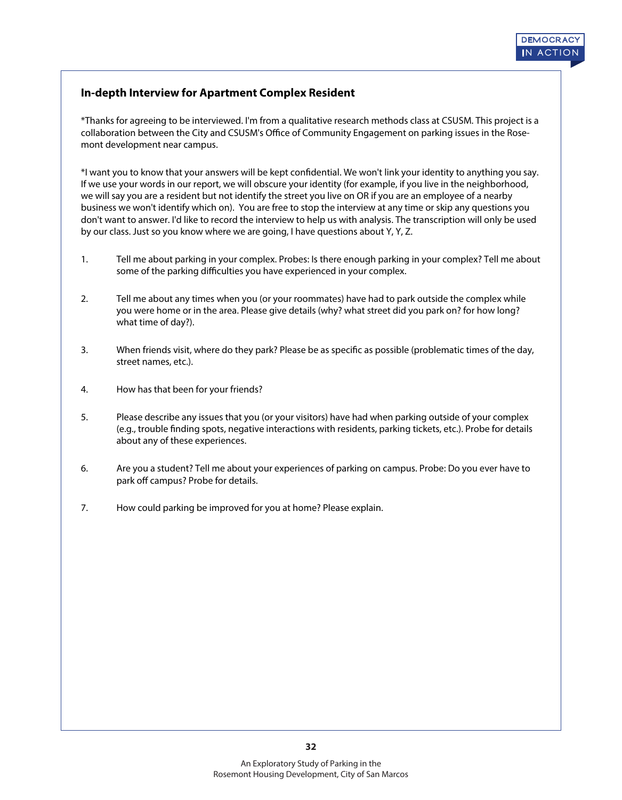# **In-depth Interview for Apartment Complex Resident**

\*Thanks for agreeing to be interviewed. I'm from a qualitative research methods class at CSUSM. This project is a collaboration between the City and CSUSM's Office of Community Engagement on parking issues in the Rosemont development near campus.

\*I want you to know that your answers will be kept condential. We won't link your identity to anything you say. If we use your words in our report, we will obscure your identity (for example, if you live in the neighborhood, we will say you are a resident but not identify the street you live on OR if you are an employee of a nearby business we won't identify which on). You are free to stop the interview at any time or skip any questions you don't want to answer. I'd like to record the interview to help us with analysis. The transcription will only be used by our class. Just so you know where we are going, I have questions about Y, Y, Z.

- 1. Tell me about parking in your complex. Probes: Is there enough parking in your complex? Tell me about some of the parking difficulties you have experienced in your complex.
- 2. Tell me about any times when you (or your roommates) have had to park outside the complex while you were home or in the area. Please give details (why? what street did you park on? for how long? what time of day?).
- 3. When friends visit, where do they park? Please be as specific as possible (problematic times of the day, street names, etc.).
- 4. How has that been for your friends?
- 5. Please describe any issues that you (or your visitors) have had when parking outside of your complex (e.g., trouble finding spots, negative interactions with residents, parking tickets, etc.). Probe for details about any of these experiences.
- 6. Are you a student? Tell me about your experiences of parking on campus. Probe: Do you ever have to park off campus? Probe for details.
- 7. How could parking be improved for you at home? Please explain.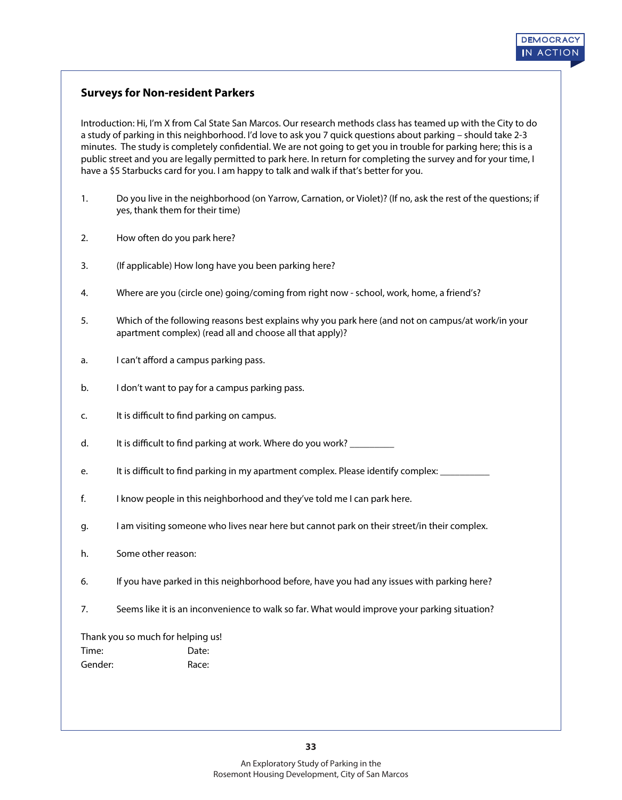# **Surveys for Non-resident Parkers**

Introduction: Hi, I'm X from Cal State San Marcos. Our research methods class has teamed up with the City to do a study of parking in this neighborhood. I'd love to ask you 7 quick questions about parking – should take 2-3 minutes. The study is completely confidential. We are not going to get you in trouble for parking here; this is a public street and you are legally permitted to park here. In return for completing the survey and for your time, I have a \$5 Starbucks card for you. I am happy to talk and walk if that's better for you.

- 1. Do you live in the neighborhood (on Yarrow, Carnation, or Violet)? (If no, ask the rest of the questions; if yes, thank them for their time)
- 2. How often do you park here?
- 3. (If applicable) How long have you been parking here?
- 4. Where are you (circle one) going/coming from right now school, work, home, a friend's?
- 5. Which of the following reasons best explains why you park here (and not on campus/at work/in your apartment complex) (read all and choose all that apply)?
- a. I can't afford a campus parking pass.
- b. I don't want to pay for a campus parking pass.
- c. It is difficult to find parking on campus.
- d. It is difficult to find parking at work. Where do you work?
- e. It is difficult to find parking in my apartment complex. Please identify complex:
- f. I know people in this neighborhood and they've told me I can park here.
- g. I am visiting someone who lives near here but cannot park on their street/in their complex.
- h. Some other reason:
- 6. If you have parked in this neighborhood before, have you had any issues with parking here?
- 7. Seems like it is an inconvenience to walk so far. What would improve your parking situation?

Thank you so much for helping us!

| Time:   | Date: |
|---------|-------|
| Gender: | Race: |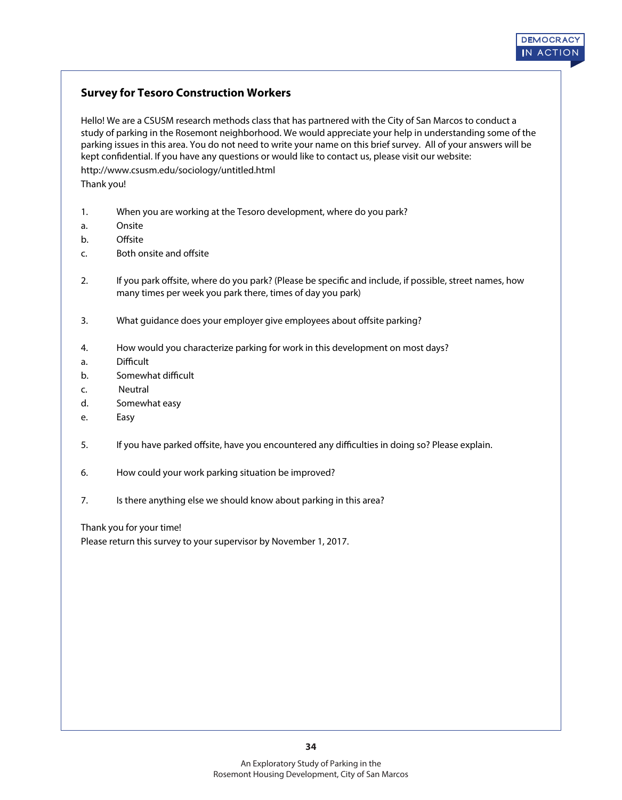# **DEMOCR A CY IN A CTION**

# **Survey for Tesoro Construction Workers**

Hello! We are a CSUSM research methods class that has partnered with the City of San Marcos to conduct a study of parking in the Rosemont neighborhood. We would appreciate your help in understanding some of the parking issues in this area. You do not need to write your name on this brief survey. All of your answers will be kept confidential. If you have any questions or would like to contact us, please visit our website: http://www.csusm.edu/sociology/untitled.html Thank you!

- 1. When you are working at the Tesoro development, where do you park?
- a. Onsite
- b. Offsite
- c. Both onsite and offsite
- 2. If you park offsite, where do you park? (Please be specific and include, if possible, street names, how many times per week you park there, times of day you park)
- 3. What guidance does your employer give employees about offsite parking?
- 4. How would you characterize parking for work in this development on most days?
- a. Difficult
- b. Somewhat difficult
- c. Neutral
- d. Somewhat easy
- e. Easy
- 5. If you have parked offsite, have you encountered any difficulties in doing so? Please explain.
- 6. How could your work parking situation be improved?
- 7. Is there anything else we should know about parking in this area?

Thank you for your time!

Please return this survey to your supervisor by November 1, 2017.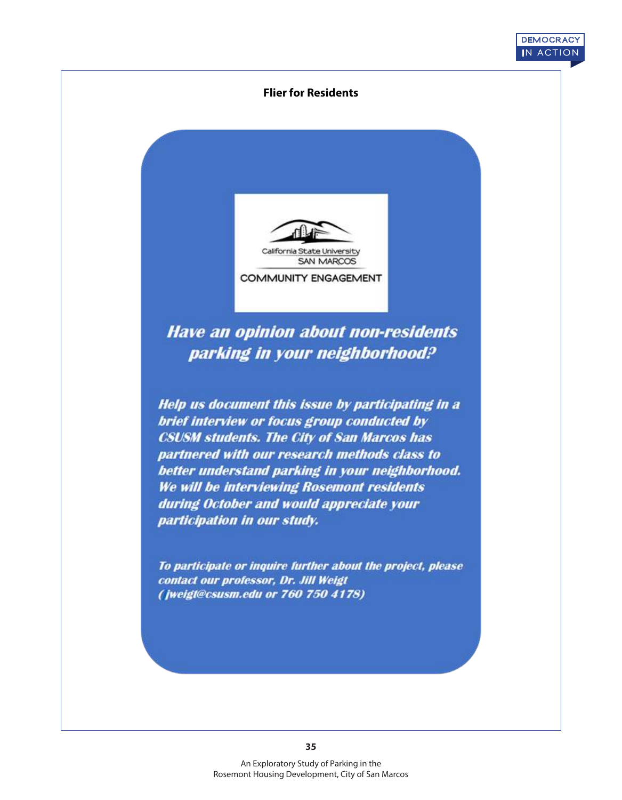#### **Flier for Residents**

**DEMOCR A CY IN A CTION**



**Have an opinion about non-residents** parking in your neighborhood?

Help us document this issue by participating in a brief interview or focus group conducted by **CSUSM students. The City of San Marcos has** partnered with our research methods class to better understand parking in your neighborhood. We will be interviewing Rosemont residents during October and would appreciate your participation in our study.

To participate or inquire further about the project, please contact our professor, Dr. Jill Weigt (jweigt@csusm.edu or 760 750 4178)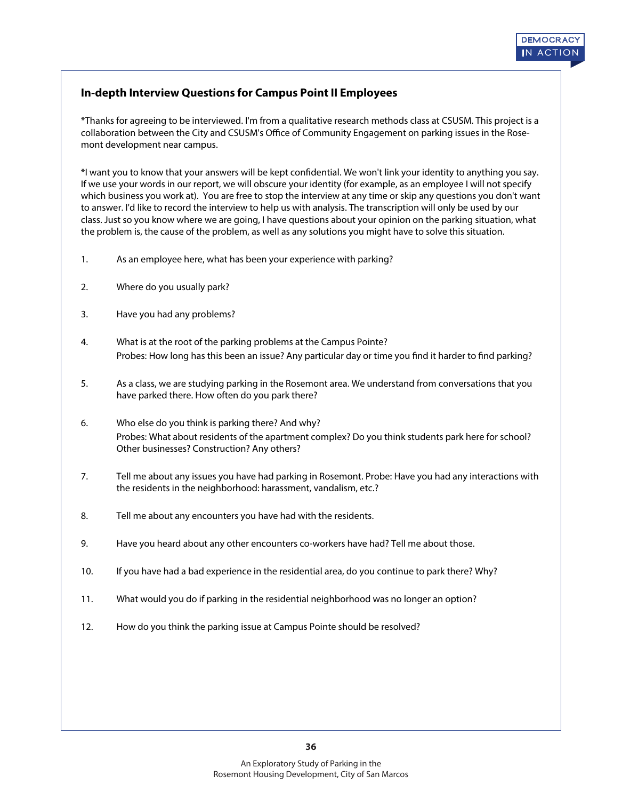# **In-depth Interview Questions for Campus Point II Employees**

\*Thanks for agreeing to be interviewed. I'm from a qualitative research methods class at CSUSM. This project is a collaboration between the City and CSUSM's Office of Community Engagement on parking issues in the Rosemont development near campus.

\*I want you to know that your answers will be kept condential. We won't link your identity to anything you say. If we use your words in our report, we will obscure your identity (for example, as an employee I will not specify which business you work at). You are free to stop the interview at any time or skip any questions you don't want to answer. I'd like to record the interview to help us with analysis. The transcription will only be used by our class. Just so you know where we are going, I have questions about your opinion on the parking situation, what the problem is, the cause of the problem, as well as any solutions you might have to solve this situation.

- 1. As an employee here, what has been your experience with parking?
- 2. Where do you usually park?
- 3. Have you had any problems?
- 4. What is at the root of the parking problems at the Campus Pointe? Probes: How long has this been an issue? Any particular day or time you find it harder to find parking?
- 5. As a class, we are studying parking in the Rosemont area. We understand from conversations that you have parked there. How often do you park there?
- 6. Who else do you think is parking there? And why? Probes: What about residents of the apartment complex? Do you think students park here for school? Other businesses? Construction? Any others?
- 7. Tell me about any issues you have had parking in Rosemont. Probe: Have you had any interactions with the residents in the neighborhood: harassment, vandalism, etc.?
- 8. Tell me about any encounters you have had with the residents.
- 9. Have you heard about any other encounters co-workers have had? Tell me about those.
- 10. If you have had a bad experience in the residential area, do you continue to park there? Why?
- 11. What would you do if parking in the residential neighborhood was no longer an option?
- 12. How do you think the parking issue at Campus Pointe should be resolved?